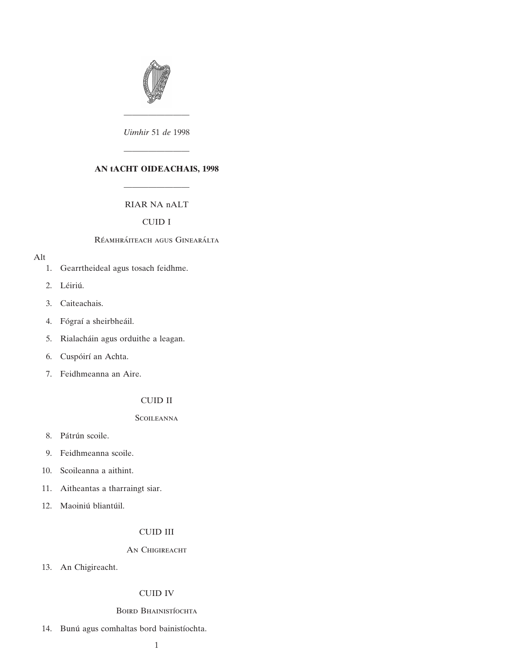

———————— *Uimhir* 51 *de* 1998

# **AN tACHT OIDEACHAIS, 1998**

————————

# RIAR NA nALT

————————

# CUID I

#### Réamhráiteach agus Ginearálta

## Alt

- [1. Gearrtheideal agus tosach feidhme.](#page-4-0)
- 2. Léiriú.
- [3. Caiteachais.](#page-8-0)
- 4. Fógraí a sheirbheáil.
- 5. Rialacháin agus orduithe a leagan.
- 6. Cuspóirí an Achta.
- [7. Feidhmeanna an Aire.](#page-10-0)

# CUID II

# **SCOILEANNA**

- 8. Pátrún scoile.
- [9. Feidhmeanna scoile.](#page-12-0)
- [10. Scoileanna a aithint.](#page-13-0)
- [11. Aitheantas a tharraingt siar.](#page-14-0)
- 12. Maoiniú bliantúil.

# CUID III

## AN CHIGIREACHT

[13. An Chigireacht.](#page-15-0)

# CUID IV

## BOIRD BHAINISTÍOCHTA

14. Bunú agus comhaltas bord bainistíochta.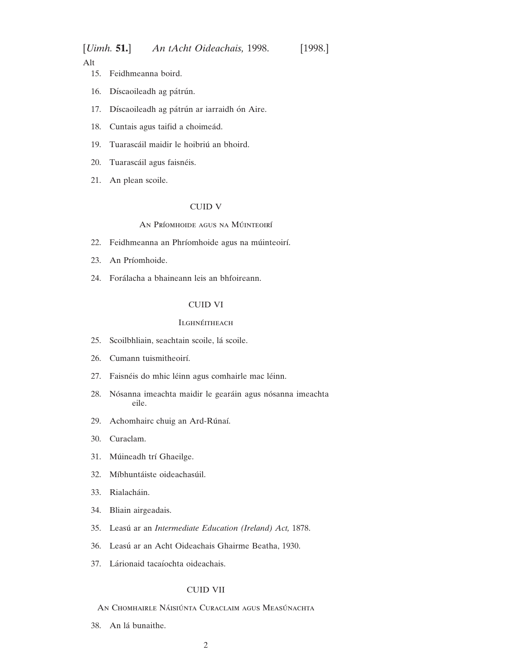[*Uimh.* **51.**] *An tAcht Oideachais,* 1998. [1998.]

Alt

- 15. Feidhmeanna boird.
- 16. Díscaoileadh ag pátrún.
- 17. Díscaoileadh ag pátrún ar iarraidh ón Aire.
- 18. Cuntais agus taifid a choimeád.
- 19. Tuarascáil maidir le hoibriú an bhoird.
- 20. Tuarascáil agus faisnéis.
- [21. An plean scoile.](#page-22-0)

## CUID V

# An Príomhoide agus na Múinteoirí

- 22. Feidhmeanna an Phríomhoide agus na múinteoirí.
- 23. An Príomhoide.
- 24. Forálacha a bhaineann leis an bhfoireann.

#### CUID VI

# **ILGHNÉITHEACH**

- 25. Scoilbhliain, seachtain scoile, lá scoile.
- 26. Cumann tuismitheoirí.
- 27. Faisnéis do mhic léinn agus comhairle mac léinn.
- 28. Nósanna imeachta maidir le gearáin agus nósanna imeachta eile.
- 29. Achomhairc chuig an Ard-Rúnaí.
- [30. Curaclam.](#page-29-0)
- 31. Múineadh trí Ghaeilge.
- 32. Míbhuntáiste oideachasúil.
- 33. Rialacháin.
- [34. Bliain airgeadais.](#page-33-0)
- 35. Leasu´ ar an *[Intermediate Education \(Ireland\) Act,](#page-33-0)* 1878.
- 36. Leasú [ar an Acht Oideachais Ghairme Beatha, 1930.](#page-33-0)
- 37. Lárionaid tacaíochta oideachais.

## CUID VII

- AN CHOMHAIRLE NÁISIÚNTA CURACLAIM AGUS MEASÚNACHTA
- 38. An lá bunaithe.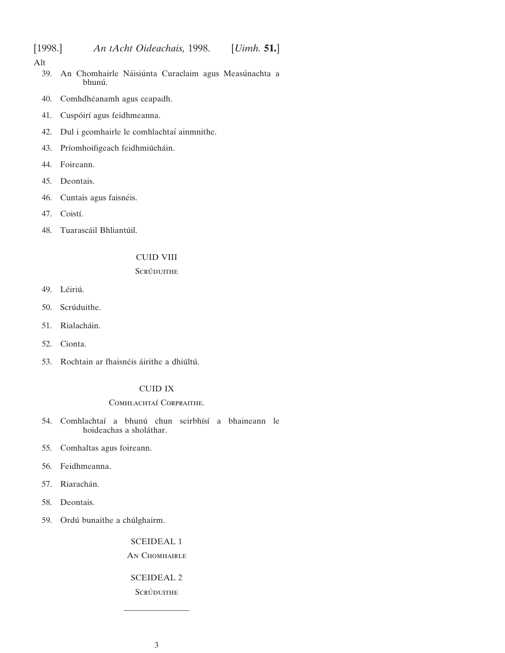## Alt

- 39. An Chomhairle Náisiúnta Curaclaim agus Measúnachta a bhunú.
- 40. Comhdhéanamh agus ceapadh.
- 41. Cuspóirí [agus feidhmeanna.](#page-35-0)
- 42. Dul i gcomhairle le comhlachtaí ainmnithe.
- 43. Príomhoifigeach feidhmiú cháin.
- [44. Foireann.](#page-38-0)
- [45. Deontais.](#page-38-0)
- 46. Cuntais agus faisnéis.
- 47. Coistí.
- 48. Tuarascáil Bhliantúil.

# CUID VIII

# **SCRÚDUITHE**

- 49. Léiriú.
- 50. Scrúduithe.
- 51. Rialacháin.
- [52. Cionta.](#page-40-0)
- 53. Rochtain ar fhaisnéis áirithe a dhiúltú.

# CUID IX

## COMHLACHTAÍ CORPRAITHE.

- 54. Comhlachtaí a bhunú chun seirbhísí a bhaineann le hoideachas a sholáthar.
- [55. Comhaltas agus foireann.](#page-42-0)
- [56. Feidhmeanna.](#page-43-0)
- 57. Riarachán.
- [58. Deontais.](#page-43-0)
- 59. Ordú bunaithe a chúlghairm.

#### [SCEIDEAL 1](#page-44-0)

# AN CHOMHAIRLE

# [SCEIDEAL 2](#page-47-0)

**SCRÚDUITHE** 

————————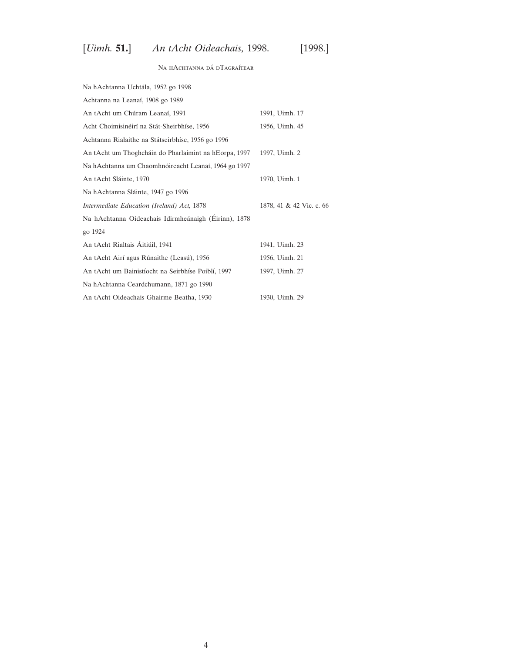# [*Uimh.* **51.**] *An tAcht Oideachais,* 1998. [1998.]

# $\rm NA$ hAchtanna d<br/>á $\rm DTAGRA$ ítear

| Na hAchtanna Uchtála, 1952 go 1998                         |                          |
|------------------------------------------------------------|--------------------------|
| Achtanna na Leanaí, 1908 go 1989                           |                          |
| An tAcht um Chúram Leanaí, 1991                            | 1991, Uimh. 17           |
| Acht Choimisinéirí na Stát-Sheirbhíse, 1956                | 1956, Uimh. 45           |
| Achtanna Rialaithe na Státseirbhíse, 1956 go 1996          |                          |
| An tAcht um Thoghcháin do Pharlaimint na hEorpa, 1997      | 1997, Uimh. 2            |
| Na hAchtanna um Chaomhnóireacht Leanaí, 1964 go 1997       |                          |
| An tAcht Sláinte, 1970                                     | 1970, Uimh. 1            |
| Na hAchtanna Sláinte, 1947 go 1996                         |                          |
| Intermediate Education (Ireland) Act, 1878                 | 1878, 41 & 42 Vic. c. 66 |
| Na hAchtanna Oideachais Idirmheánaigh (Éirinn), 1878       |                          |
| go 1924                                                    |                          |
| An tAcht Rialtais Áitiúil, 1941                            | 1941, Uimh. 23           |
| An tAcht Airí agus Rúnaithe (Leasú), 1956                  | 1956, Uimh. 21           |
| An tAcht um Bainistíocht na Seirbhíse Poiblí, 1997         | 1997, Uimh. 27           |
| Na hAchtanna Ceardchumann, 1871 go 1990                    |                          |
| An tAcht Oideachais Ghairme Beatha, 1930<br>1930, Uimh. 29 |                          |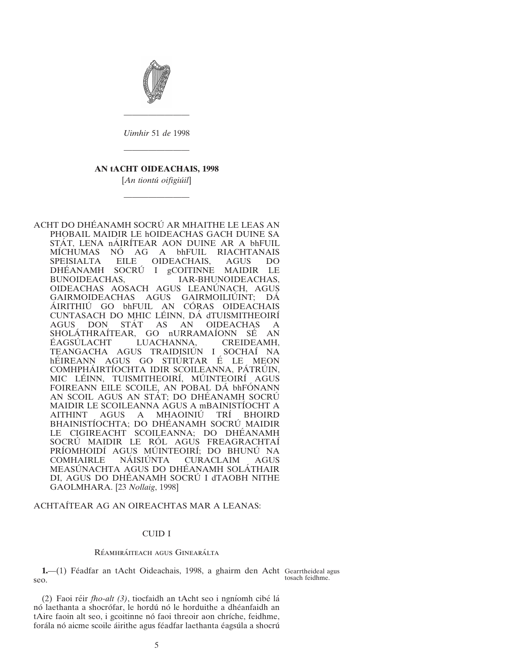<span id="page-4-0"></span>

*Uimhir* 51 *de* 1998

————————

# **AN tACHT OIDEACHAIS, 1998**

————————

[*An tiontu´ oifigiu´il*]

————————

ACHT DO DHÉANAMH SOCRÚ AR MHAITHE LE LEAS AN PHOBAIL MAIDIR LE hOIDEACHAS GACH DUINE SA STÁT, LENA nÁIRÍTEAR AON DUINE AR A bhFUIL MICHUMAS NO AG A bhFUIL RIACHTANAIS SPEISIALTA EILE OIDEACHAIS, AGUS DO DHE´ ANAMH SOCRU´ I gCOITINNE MAIDIR LE IAR-BHUNOIDEACHAS, OIDEACHAS AOSACH AGUS LEANÚNACH, AGUS GAIRMOIDEACHAS AGUS GAIRMOILIÚINT; DÁ AIRITHIU GO bhFUIL AN CORAS OIDEACHAIS CUNTASACH DO MHIC LÉINN, DÁ dTUISMITHEOIRÍ AGUS DON STÁT AS AN OIDEACHAS A SHOLATHRAITEAR, GO nURRAMAÍONN SÉ AN EAGSULACHT LUACHANNA, CREIDEAMH, TEANGACHA AGUS TRAIDISIÚN I SOCHAÍ NA hÉIREANN AGUS GO STIÚRTAR É LE MEON COMHPHAIRTIOCHTA IDIR SCOILEANNA, PATRUIN, MIC LEINN, TUISMITHEOIRI, MUINTEOIRI AGUS FOIREANN EILE SCOILE, AN POBAL DA bhFONANN AN SCOIL AGUS AN STÁT; DO DHÉANAMH SOCRÚ MAIDIR LE SCOILEANNA AGUS A mBAINISTIOCHT A AITHINT AGUS A MHAOINIU´ TRI´ BHOIRD BHAINISTÍOCHTA; DO DHÉANAMH SOCRÚ MAIDIR LE CIGIREACHT SCOILEANNA: DO DHÉANAMH SOCRÚ MAIDIR LE RÓL AGUS FREAGRACHTAÍ PRÍOMHOIDÍ AGUS MÚINTEOIRÍ; DO BHUNÚ NA<br>COMHAIRLE NÁISIÚNTA CURACLAIM AGUS COMHAIRLE NÁISIÚNTA CURACLAIM AGUS MEASÚNACHTA AGUS DO DHÉANAMH SOLÁTHAIR DI, AGUS DO DHÉANAMH SOCRÚ I dTAOBH NITHE GAOLMHARA. [23 *Nollaig*, 1998]

ACHTAI´TEAR AG AN OIREACHTAS MAR A LEANAS:

#### CUID I

#### RÉAMHRÁITEACH AGUS GINEARÁLTA

**1.** (1) Féadfar an tAcht Oideachais, 1998, a ghairm den Acht Gearrtheideal agus seo.

tosach feidhme.

(2) Faoi réir *fho-alt (3)*, tiocfaidh an tAcht seo i ngníomh cibé lá nó laethanta a shocrófar, le hordú nó le horduithe a dhéanfaidh an tAire faoin alt seo, i gcoitinne nó faoi threoir aon chríche, feidhme, forála nó aicme scoile áirithe agus féadfar laethanta éagsúla a shocrú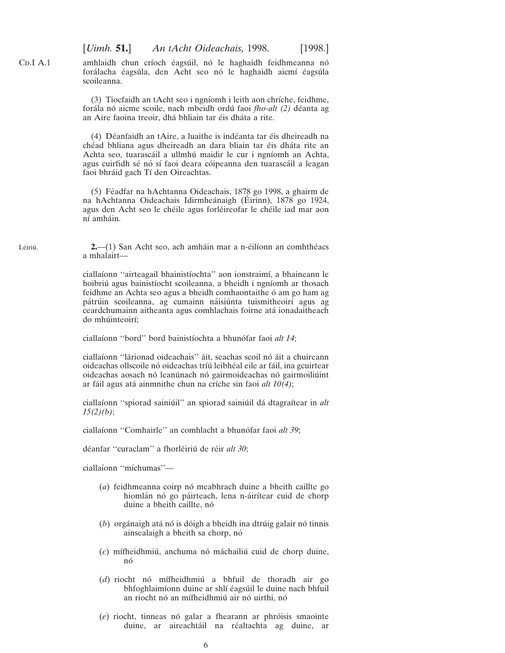amhlaidh chun críoch éagsúil, nó le haghaidh feidhmeanna nó forálacha éagsúla, den Acht seo nó le haghaidh aicmí éagsúla scoileanna.

(3) Tiocfaidh an tAcht seo i ngnı´omh i leith aon chrı´che, feidhme, forála nó aicme scoile, nach mbeidh ordú faoi *fho-alt (2)* déanta ag an Aire faoina treoir, dhá bhliain tar éis dháta a rite.

(4) Déanfaidh an tAire, a luaithe is indéanta tar éis dheireadh na chéad bhliana agus dheireadh an dara bliain tar éis dháta rite an Achta seo, tuarascáil a ullmhú maidir le cur i ngníomh an Achta, agus cuirfidh sé nó sí faoi deara cóipeanna den tuarascáil a leagan faoi bhráid gach Tí den Oireachtas.

(5) Féadfar na hAchtanna Oideachais, 1878 go 1998, a ghairm de na hAchtanna Oideachais Idirmheánaigh (Éirinn), 1878 go 1924, agus den Acht seo le chéile agus forléireofar le chéile iad mar aon ní amháin.

**2.**—(1) San Acht seo, ach amháin mar a n-éilíonn an comhthéacs a mhalairt—

ciallaíonn "airteagail bhainistíochta" aon ionstraimí, a bhaineann le hoibriú agus bainistíocht scoileanna, a bheidh i ngníomh ar thosach feidhme an Achta seo agus a bheidh comhaontaithe ó am go ham ag pátrúin scoileanna, ag cumainn náisiúnta tuismitheoirí agus ag ceardchumainn aitheanta agus comhlachais foirne ata´ ionadaitheach do mhúinteoirí;

ciallaı´onn ''bord'' bord bainistı´ochta a bhuno´far faoi *alt 14*;

ciallaı´onn ''la´rionad oideachais'' a´it, seachas scoil no´ a´it a chuireann oideachas ollscoile nó oideachas tríú leibhéal eile ar fáil, ina gcuirtear oideachas aosach nó leanúnach nó gairmoideachas nó gairmoiliúint ar fáil agus atá ainmnithe chun na críche sin faoi *alt 10(4)*;

ciallaı´onn ''spiorad sainiu´il'' an spiorad sainiu´il da´ dtagraı´tear in *alt 15(2)(b)*;

ciallaíonn "Comhairle" an comhlacht a bhunófar faoi alt 39;

déanfar "curaclam" a fhorléiriú de réir *alt 30*;

ciallaíonn "míchumas"-

- (*a*) feidhmeanna coirp nó meabhrach duine a bheith caillte go hiomlán nó go páirteach, lena n-áirítear cuid de chorp duine a bheith caillte, nó
- $(b)$  orgánaigh atá nó is dóigh a bheidh ina dtrúig galair nó tinnis ainsealaigh a bheith sa chorp, nó
- (*c*) mı´fheidhmiu´, anchuma no´ ma´chailiu´ cuid de chorp duine, nó
- (*d*) riocht no´ mı´fheidhmiu´ a bhfuil de thoradh air go bhfoghlaimíonn duine ar shlí éagsúil le duine nach bhfuil an riocht nó an mífheidhmiú air nó uirthi, nó
- (e) riocht, tinneas nó galar a fhearann ar phróisis smaointe duine, ar aireachtáil na réaltachta ag duine, ar

Léiriú

<span id="page-5-0"></span> $CD.I A.1$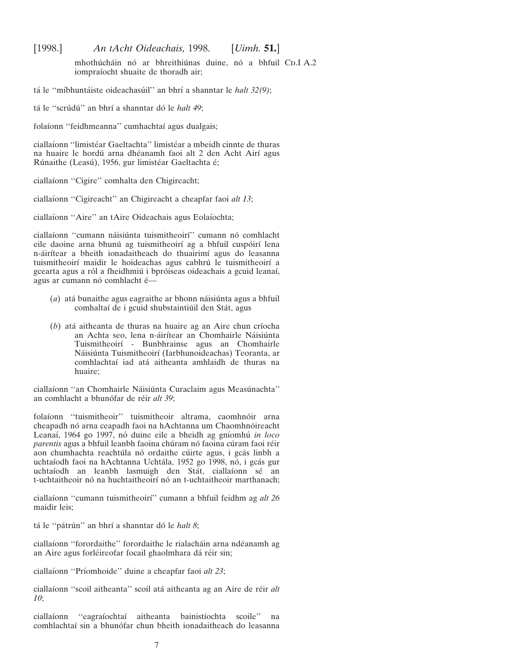mhothúcháin nó ar bhreithiúnas duine, nó a bhfuil CD.I A.2 iompraíocht shuaite de thoradh air;

tá le "míbhuntáiste oideachasúil" an bhrí a shanntar le *halt 32(9)*;

tá le "scrúdú" an bhrí a shanntar dó le *halt 49*;

folaíonn "feidhmeanna" cumhachtaí agus dualgais;

ciallaíonn "limistéar Gaeltachta" limistéar a mbeidh cinnte de thuras na huaire le hordú arna dhéanamh faoi alt 2 den Acht Airí agus Rúnaithe (Leasú), 1956, gur limistéar Gaeltachta é;

ciallaíonn "Cigire" comhalta den Chigireacht;

ciallaíonn "Cigireacht" an Chigireacht a cheapfar faoi *alt 13*;

ciallaíonn "Aire" an tAire Oideachais agus Eolaíochta;

ciallaíonn "cumann náisiúnta tuismitheoirí" cumann nó comhlacht eile daoine arna bhunú ag tuismitheoirí ag a bhfuil cuspóirí lena n-áirítear a bheith ionadaitheach do thuairimí agus do leasanna tuismitheoirí maidir le hoideachas agus cabhrú le tuismitheoirí a gcearta agus a ról a fheidhmiú i bpróiseas oideachais a gcuid leanaí, agus ar cumann nó comhlacht é-

- (*a*) atá bunaithe agus eagraithe ar bhonn náisiúnta agus a bhfuil comhaltaí de i gcuid shubstaintiúil den Stát, agus
- $(b)$  atá aitheanta de thuras na huaire ag an Aire chun críocha an Achta seo, lena n-áirítear an Chomhairle Náisiúnta Tuismitheoirı´ - Bunbhrainse agus an Chomhairle Náisiúnta Tuismitheoirí (Iarbhunoideachas) Teoranta, ar comhlachtaí iad atá aitheanta amhlaidh de thuras na huaire;

ciallaíonn "an Chomhairle Náisiúnta Curaclaim agus Measúnachta" an comhlacht a bhunófar de réir *alt 39*;

folaíonn "tuismitheoir" tuismitheoir altrama, caomhnóir arna cheapadh nó arna ceapadh faoi na hAchtanna um Chaomhnóireacht Leanaí, 1964 go 1997, nó duine eile a bheidh ag gníomhú *in loco* parentis agus a bhfuil leanbh faoina chúram nó faoina cúram faoi réir aon chumhachta reachtúla nó ordaithe cúirte agus, i gcás linbh a uchtaíodh faoi na hAchtanna Uchtála, 1952 go 1998, nó, i gcás gur uchtaíodh an leanbh lasmuigh den Stát, ciallaíonn sé an t-uchtaitheoir nó na huchtaitheoirí nó an t-uchtaitheoir marthanach;

ciallaı´onn ''cumann tuismitheoirı´'' cumann a bhfuil feidhm ag *alt 26* maidir leis;

tá le "pátrún" an bhrí a shanntar dó le *halt 8*;

ciallaíonn "forordaithe" forordaithe le rialacháin arna ndéanamh ag an Aire agus forléireofar focail ghaolmhara dá réir sin;

ciallaíonn "Príomhoide" duine a cheapfar faoi alt 23;

ciallaı´onn ''scoil aitheanta'' scoil ata´ aitheanta ag an Aire de re´ir *alt 10*;

ciallaíonn "eagraíochtaí aitheanta bainistíochta scoile" na comhlachtaí sin a bhunófar chun bheith ionadaitheach do leasanna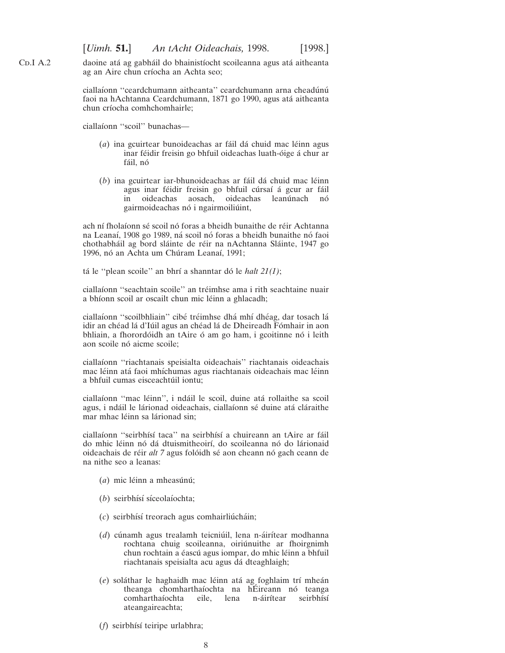daoine atá ag gabháil do bhainistíocht scoileanna agus atá aitheanta ag an Aire chun críocha an Achta seo;

ciallaíonn "ceardchumann aitheanta" ceardchumann arna cheadúnú faoi na hAchtanna Ceardchumann, 1871 go 1990, agus atá aitheanta chun críocha comhchomhairle;

ciallaíonn "scoil" bunachas—

 $CD.I A.2$ 

- (*a*) ina gcuirtear bunoideachas ar fáil dá chuid mac léinn agus inar féidir freisin go bhfuil oideachas luath-óige á chur ar fáil, nó
- (*b*) ina gcuirtear iar-bhunoideachas ar fáil dá chuid mac léinn agus inar féidir freisin go bhfuil cúrsaí á gcur ar fáil in oideachas aosach, oideachas leanúnach nó gairmoideachas nó i ngairmoiliúint,

ach ní fholaíonn sé scoil nó foras a bheidh bunaithe de réir Achtanna na Leanaí, 1908 go 1989, ná scoil nó foras a bheidh bunaithe nó faoi chothabháil ag bord sláinte de réir na nAchtanna Sláinte, 1947 go 1996, nó an Achta um Chúram Leanaí, 1991;

tá le "plean scoile" an bhrí a shanntar dó le *halt 21(1)*;

ciallaíonn "seachtain scoile" an tréimhse ama i rith seachtaine nuair a bhíonn scoil ar oscailt chun mic léinn a ghlacadh;

ciallaíonn "scoilbhliain" cibé tréimhse dhá mhí dhéag, dar tosach lá idir an chéad lá d'Iúil agus an chéad lá de Dheireadh Fómhair in aon bhliain, a fhorordóidh an tAire ó am go ham, i gcoitinne nó i leith aon scoile nó aicme scoile;

ciallaíonn "riachtanais speisialta oideachais" riachtanais oideachais mac léinn atá faoi mhíchumas agus riachtanais oideachais mac léinn a bhfuil cumas eisceachtúil iontu;

ciallaı´onn ''mac le´inn'', i nda´il le scoil, duine ata´ rollaithe sa scoil agus, i ndáil le lárionad oideachais, ciallaíonn sé duine atá cláraithe mar mhac léinn sa lárionad sin;

ciallaíonn "seirbhísí taca" na seirbhísí a chuireann an tAire ar fáil do mhic léinn nó dá dtuismitheoirí, do scoileanna nó do lárionaid oideachais de réir *alt 7* agus folóidh sé aon cheann nó gach ceann de na nithe seo a leanas:

- (a) mic léinn a mheasúnú;
- (b) seirbhísí síceolaíochta;
- (c) seirbhísí treorach agus comhairliú cháin;
- (*d*) cúnamh agus trealamh teicniúil, lena n-áirítear modhanna rochtana chuig scoileanna, oiriú nuithe ar fhoirgnimh chun rochtain a éascú agus iompar, do mhic léinn a bhfuil riachtanais speisialta acu agus da´ dteaghlaigh;
- (*e*) soláthar le haghaidh mac léinn atá ag foghlaim trí mheán theanga chomharthaíochta na hÉireann nó teanga comharthaíochta eile, lena n-áirítear seirbhísí ateangaireachta;
- (f) seirbhísí teiripe urlabhra;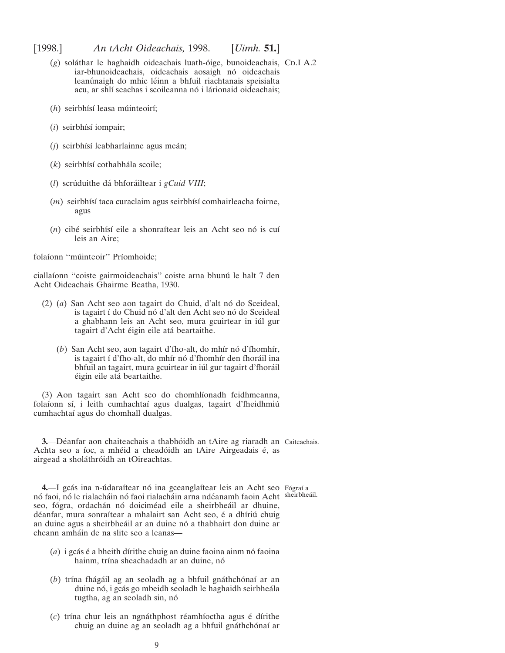- <span id="page-8-0"></span>(g) soláthar le haghaidh oideachais luath-óige, bunoideachais, CD.I A.2 iar-bhunoideachais, oideachais aosaigh nó oideachais leanúnaigh do mhic léinn a bhfuil riachtanais speisialta acu, ar shlí seachas i scoileanna nó i lárionaid oideachais;
- (h) seirbhísí leasa múinteoirí;
- (*i*) seirbhísí iompair;
- (*j*) seirbhísí leabharlainne agus meán;
- $(k)$  seirbhísí cothabhála scoile;
- (*l*) scrúduithe dá bhforáiltear i *gCuid VIII*;
- (*m*) seirbhísí taca curaclaim agus seirbhísí comhairleacha foirne, agus
- $(n)$  cibé seirbhísí eile a shonraítear leis an Acht seo nó is cuí leis an Aire;

folaíonn "múinteoir" Príomhoide;

ciallaíonn "coiste gairmoideachais" coiste arna bhunú le halt 7 den Acht Oideachais Ghairme Beatha, 1930.

- (2) (a) San Acht seo aon tagairt do Chuid, d'alt nó do Sceideal, is tagairt í do Chuid nó d'alt den Acht seo nó do Sceideal a ghabhann leis an Acht seo, mura gcuirtear in iúl gur tagairt d'Acht éigin eile atá beartaithe.
	- (b) San Acht seo, aon tagairt d'fho-alt, do mhír nó d'fhomhír, is tagairt í d'fho-alt, do mhír nó d'fhomhír den fhoráil ina bhfuil an tagairt, mura gcuirtear in iúl gur tagairt d'fhoráil éigin eile atá beartaithe.

(3) Aon tagairt san Acht seo do chomhlíonadh feidhmeanna, folaíonn sí, i leith cumhachtaí agus dualgas, tagairt d'fheidhmiú cumhachtaı´ agus do chomhall dualgas.

**3.**—Déanfar aon chaiteachais a thabhóidh an tAire ag riaradh an Caiteachais. Achta seo a íoc, a mhéid a cheadóidh an tAire Airgeadais é, as airgead a sholáthróidh an tOireachtas.

4.—I gcás ina n-údaraítear nó ina gceanglaítear leis an Acht seo Fógraí a nó faoi, nó le rialacháin nó faoi rialacháin arna ndéanamh faoin Acht sheirbheáil. seo, fógra, ordachán nó doiciméad eile a sheirbheáil ar dhuine, déanfar, mura sonraítear a mhalairt san Acht seo, é a dhíriú chuig an duine agus a sheirbheáil ar an duine nó a thabhairt don duine ar cheann amha´in de na slite seo a leanas—

- (*a*) i gcás é a bheith dírithe chuig an duine faoina ainm nó faoina hainm, trína sheachadadh ar an duine, nó
- (b) trína fhágáil ag an seoladh ag a bhfuil gnáthchónaí ar an duine nó, i gcás go mbeidh seoladh le haghaidh seirbheála tugtha, ag an seoladh sin, nó
- (c) trína chur leis an ngnáthphost réamhíoctha agus é dírithe chuig an duine ag an seoladh ag a bhfuil gnáthchónaí ar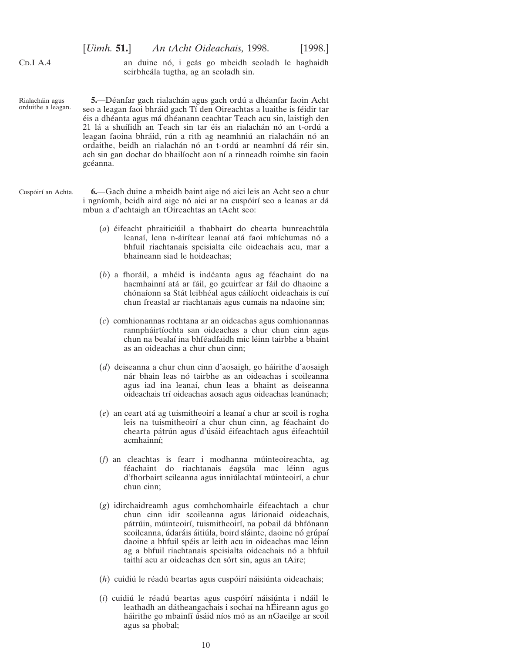<span id="page-9-0"></span> $CD.I A.4$ 

an duine nó, i gcás go mbeidh seoladh le haghaidh seirbheála tugtha, ag an seoladh sin.

- Rialacháin agus orduithe a leagan. 5. - Déanfar gach rialachán agus gach ordú a dhéanfar faoin Acht seo a leagan faoi bhráid gach Tí den Oireachtas a luaithe is féidir tar éis a dhéanta agus má dhéanann ceachtar Teach acu sin, laistigh den 21 lá a shuífidh an Teach sin tar éis an rialachán nó an t-ordú a leagan faoina bhráid, rún a rith ag neamhniú an rialacháin nó an ordaithe, beidh an rialachán nó an t-ordú ar neamhní dá réir sin, ach sin gan dochar do bhailíocht aon ní a rinneadh roimhe sin faoin gcéanna.
- Cuspóirí an Achta. **6.**—Gach duine a mbeidh baint aige nó aici leis an Acht seo a chur i ngníomh, beidh aird aige nó aici ar na cuspóirí seo a leanas ar dá mbun a d'achtaigh an tOireachtas an tAcht seo:
	- (*a*) éifeacht phraiticiúil a thabhairt do chearta bunreachtúla leanaí, lena n-áirítear leanaí atá faoi mhíchumas nó a bhfuil riachtanais speisialta eile oideachais acu, mar a bhaineann siad le hoideachas;
	- (b) a fhoráil, a mhéid is indéanta agus ag féachaint do na hacmhainní atá ar fáil, go gcuirfear ar fáil do dhaoine a chónaíonn sa Stát leibhéal agus cáilíocht oideachais is cuí chun freastal ar riachtanais agus cumais na ndaoine sin;
	- (*c*) comhionannas rochtana ar an oideachas agus comhionannas rannpháirtíochta san oideachas a chur chun cinn agus chun na bealaí ina bhféadfaidh mic léinn tairbhe a bhaint as an oideachas a chur chun cinn;
	- (*d*) deiseanna a chur chun cinn d'aosaigh, go ha´irithe d'aosaigh nár bhain leas nó tairbhe as an oideachas i scoileanna agus iad ina leanaí, chun leas a bhaint as deiseanna oideachais trí oideachas aosach agus oideachas leanúnach;
	- (*e*) an ceart ata´ ag tuismitheoirı´ a leanaı´ a chur ar scoil is rogha leis na tuismitheoirí a chur chun cinn, ag féachaint do chearta pátrún agus d'úsáid éifeachtach agus éifeachtúil acmhainní;
	- (*f*) an cleachtas is fearr i modhanna múinteoireachta, ag féachaint do riachtanais éagsúla mac léinn agus d'fhorbairt scileanna agus inniúlachtaí múinteoirí, a chur chun cinn;
	- $(g)$  idirchaidreamh agus comhchomhairle éifeachtach a chur chun cinn idir scoileanna agus lárionaid oideachais, pátrúin, múinteoirí, tuismitheoirí, na pobail dá bhfónann scoileanna, údaráis áitiúla, boird sláinte, daoine nó grúpaí daoine a bhfuil spéis ar leith acu in oideachas mac léinn ag a bhfuil riachtanais speisialta oideachais nó a bhfuil taithí acu ar oideachas den sórt sin, agus an tAire;
	- (h) cuidiú le réadú beartas agus cuspóirí náisiúnta oideachais;
	- (*i*) cuidiú le réadú beartas agus cuspóirí náisiúnta i ndáil le leathadh an dátheangachais i sochaí na hÉireann agus go háirithe go mbainfí úsáid níos mó as an nGaeilge ar scoil agus sa phobal;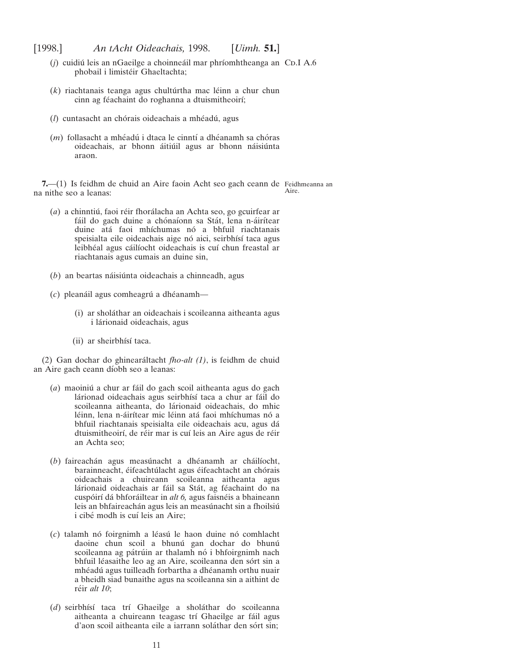- <span id="page-10-0"></span>(*j*) cuidiú leis an nGaeilge a choinneáil mar phríomhtheanga an CD.I A.6 phobail i limistéir Ghaeltachta;
- $(k)$  riachtanais teanga agus chultúrtha mac léinn a chur chun cinn ag féachaint do roghanna a dtuismitheoirí;
- (*l*) cuntasacht an chórais oideachais a mhéadú, agus
- (*m*) follasacht a mhéadú i dtaca le cinntí a dhéanamh sa chóras oideachais, ar bhonn áitiúil agus ar bhonn náisiúnta araon.

**7.**—(1) Is feidhm de chuid an Aire faoin Acht seo gach ceann de Feidhmeanna an na nithe seo a leanas: Aire.

- (*a*) a chinntiú, faoi réir fhorálacha an Achta seo, go gcuirfear ar fáil do gach duine a chónaíonn sa Stát, lena n-áirítear duine atá faoi mhíchumas nó a bhfuil riachtanais speisialta eile oideachais aige nó aici, seirbhísí taca agus leibhéal agus cáilíocht oideachais is cuí chun freastal ar riachtanais agus cumais an duine sin,
- (*b*) an beartas náisiúnta oideachais a chinneadh, agus
- (c) pleanáil agus comheagrú a dhéanamh—
	- (i) ar shola´thar an oideachais i scoileanna aitheanta agus i lárionaid oideachais, agus
	- (ii) ar sheirbhísí taca.

(2) Gan dochar do ghineara´ltacht *fho-alt (1)*, is feidhm de chuid an Aire gach ceann díobh seo a leanas:

- (*a*) maoiniú a chur ar fáil do gach scoil aitheanta agus do gach lárionad oideachais agus seirbhísí taca a chur ar fáil do scoileanna aitheanta, do lárionaid oideachais, do mhic léinn, lena n-áirítear mic léinn atá faoi mhíchumas nó a bhfuil riachtanais speisialta eile oideachais acu, agus da´ dtuismitheoirí, de réir mar is cuí leis an Aire agus de réir an Achta seo;
- (b) faireachán agus measúnacht a dhéanamh ar cháilíocht, barainneacht, éifeachtúlacht agus éifeachtacht an chórais oideachais a chuireann scoileanna aitheanta agus lárionaid oideachais ar fáil sa Stát, ag féachaint do na cuspóirí dá bhforáiltear in *alt 6*, agus faisnéis a bhaineann leis an bhfaireachán agus leis an measúnacht sin a fhoilsiú i cibé modh is cuí leis an Aire;
- (*c*) talamh no´ foirgnimh a le´asu´ le haon duine no´ comhlacht daoine chun scoil a bhunú gan dochar do bhunú scoileanna ag pátrúin ar thalamh nó i bhfoirgnimh nach bhfuil léasaithe leo ag an Aire, scoileanna den sórt sin a mhéadú agus tuilleadh forbartha a dhéanamh orthu nuair a bheidh siad bunaithe agus na scoileanna sin a aithint de réir *alt* 10;
- (d) seirbhísí taca trí Ghaeilge a sholáthar do scoileanna aitheanta a chuireann teagasc trí Ghaeilge ar fáil agus d'aon scoil aitheanta eile a iarrann soláthar den sórt sin;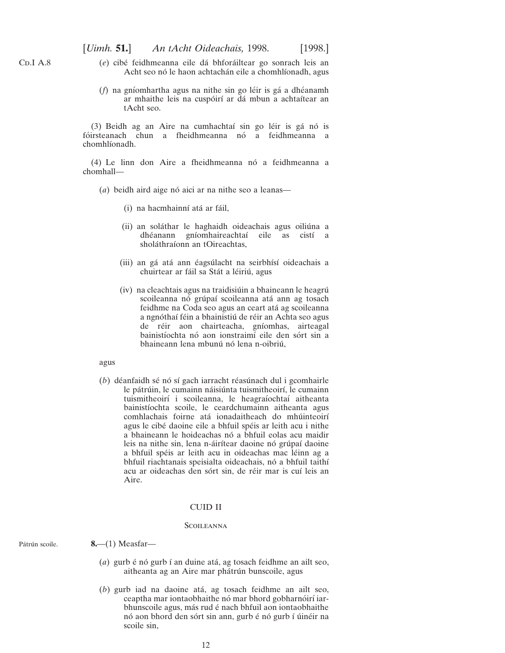- <span id="page-11-0"></span>(*e*) cibe´ feidhmeanna eile da´ bhfora´iltear go sonrach leis an Acht seo nó le haon achtachán eile a chomhlíonadh, agus
- (*f*) na gníomhartha agus na nithe sin go léir is gá a dhéanamh ar mhaithe leis na cuspóirí ar dá mbun a achtaítear an tAcht seo.

(3) Beidh ag an Aire na cumhachtaí sin go léir is gá nó is fóirsteanach chun a fheidhmeanna nó a feidhmeanna a chomhlíonadh.

 $(4)$  Le linn don Aire a fheidhmeanna nó a feidhmeanna a chomhall—

 $(a)$  beidh aird aige nó aici ar na nithe seo a leanas—

- (i) na hacmhainní atá ar fáil,
- (ii) an soláthar le haghaidh oideachais agus oiliúna a dhéanann gníomhaireachtaí eile as cistí a sholáthraíonn an tOireachtas,
- (iii) an gá atá ann éagsúlacht na seirbhísí oideachais a chuirtear ar fáil sa Stát a léiriú, agus
- (iv) na cleachtais agus na traidisiúin a bhaineann le heagrú scoileanna nó grúpaí scoileanna atá ann ag tosach feidhme na Coda seo agus an ceart atá ag scoileanna a ngnóthaí féin a bhainistiú de réir an Achta seo agus de réir aon chairteacha, gníomhas, airteagal bainistíochta nó aon ionstraimí eile den sórt sin a bhaineann lena mbunú nó lena n-oibriú,

## agus

 $(b)$  déanfaidh sé nó sí gach iarracht réasúnach dul i gcomhairle le pátrúin, le cumainn náisiúnta tuismitheoirí, le cumainn tuismitheoirí i scoileanna, le heagraíochtaí aitheanta bainistíochta scoile, le ceardchumainn aitheanta agus comhlachais foirne atá ionadaitheach do mhúinteoirí agus le cibé daoine eile a bhfuil spéis ar leith acu i nithe a bhaineann le hoideachas nó a bhfuil eolas acu maidir leis na nithe sin, lena n-áirítear daoine nó grúpaí daoine a bhfuil spéis ar leith acu in oideachas mac léinn ag a bhfuil riachtanais speisialta oideachais, nó a bhfuil taithí acu ar oideachas den sórt sin, de réir mar is cuí leis an Aire.

## CUID II

#### **SCOILEANNA**

#### Pátrún scoile.

- **8.**—(1) Measfar—
	- (*a*) gurb é nó gurb í an duine atá, ag tosach feidhme an ailt seo, aitheanta ag an Aire mar phátrún bunscoile, agus
	- (*b*) gurb iad na daoine ata´, ag tosach feidhme an ailt seo, ceaptha mar iontaobhaithe nó mar bhord gobharnóirí iarbhunscoile agus, más rud é nach bhfuil aon iontaobhaithe nó aon bhord den sórt sin ann, gurb é nó gurb í úinéir na scoile sin,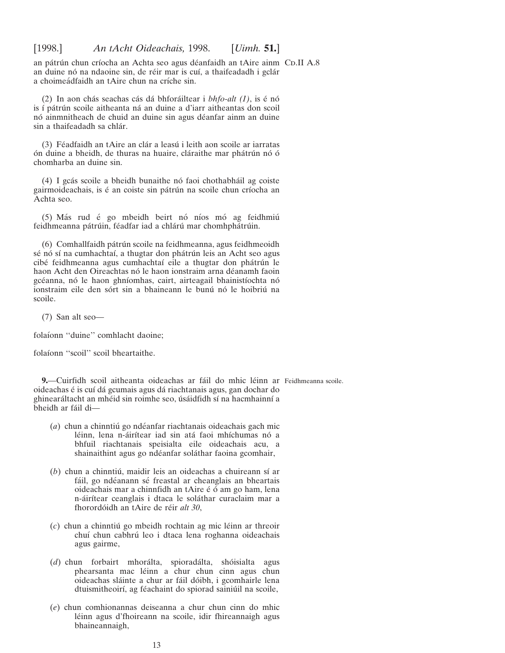<span id="page-12-0"></span>an pátrún chun críocha an Achta seo agus déanfaidh an tAire ainm CD.II A.8 an duine nó na ndaoine sin, de réir mar is cuí, a thaifeadadh i gclár a choimeádfaidh an tAire chun na críche sin.

(2) In aon chás seachas cás dá bhforáiltear i *bhfo-alt (1)*, is é nó is í pátrún scoile aitheanta ná an duine a d'iarr aitheantas don scoil nó ainmnitheach de chuid an duine sin agus déanfar ainm an duine sin a thaifeadadh sa chlár.

(3) Féadfaidh an tAire an clár a leasú i leith aon scoile ar iarratas ón duine a bheidh, de thuras na huaire, cláraithe mar phátrún nó ó chomharba an duine sin.

(4) I gcás scoile a bheidh bunaithe nó faoi chothabháil ag coiste gairmoideachais, is é an coiste sin pátrún na scoile chun críocha an Achta seo.

(5) Más rud é go mbeidh beirt nó níos mó ag feidhmiú feidhmeanna pátrúin, féadfar iad a chlárú mar chomhphátrúin.

(6) Comhallfaidh pátrún scoile na feidhmeanna, agus feidhmeoidh sé nó sí na cumhachtaí, a thugtar don phátrún leis an Acht seo agus cibé feidhmeanna agus cumhachtaí eile a thugtar don phátrún le haon Acht den Oireachtas nó le haon ionstraim arna déanamh faoin gcéanna, nó le haon ghníomhas, cairt, airteagail bhainistíochta nó ionstraim eile den sórt sin a bhaineann le bunú nó le hoibriú na scoile.

(7) San alt seo—

folaíonn "duine" comhlacht daoine;

folaíonn "scoil" scoil bheartaithe.

**9.**—Cuirfidh scoil aitheanta oideachas ar fáil do mhic léinn ar Feidhmeanna scoile. oideachas é is cuí dá gcumais agus dá riachtanais agus, gan dochar do ghinearáltacht an mhéid sin roimhe seo, úsáidfidh sí na hacmhainní a bheidh ar fáil di-

- (*a*) chun a chinntiú go ndéanfar riachtanais oideachais gach mic léinn, lena n-áirítear iad sin atá faoi mhíchumas nó a bhfuil riachtanais speisialta eile oideachais acu, a shainaithint agus go ndéanfar soláthar faoina gcomhair,
- $(b)$  chun a chinntiú, maidir leis an oideachas a chuireann sí ar fáil, go ndéanann sé freastal ar cheanglais an bheartais oideachais mar a chinnfidh an tAire é ó am go ham, lena n-áirítear ceanglais i dtaca le soláthar curaclaim mar a fhorordóidh an tAire de réir *alt 30*,
- (*c*) chun a chinntiu´ go mbeidh rochtain ag mic le´inn ar threoir chuí chun cabhrú leo i dtaca lena roghanna oideachais agus gairme,
- (d) chun forbairt mhorálta, spioradálta, shóisialta agus phearsanta mac léinn a chur chun cinn agus chun oideachas sláinte a chur ar fáil dóibh, i gcomhairle lena dtuismitheoirí, ag féachaint do spiorad sainiúil na scoile,
- (*e*) chun comhionannas deiseanna a chur chun cinn do mhic léinn agus d'fhoireann na scoile, idir fhireannaigh agus bhaineannaigh,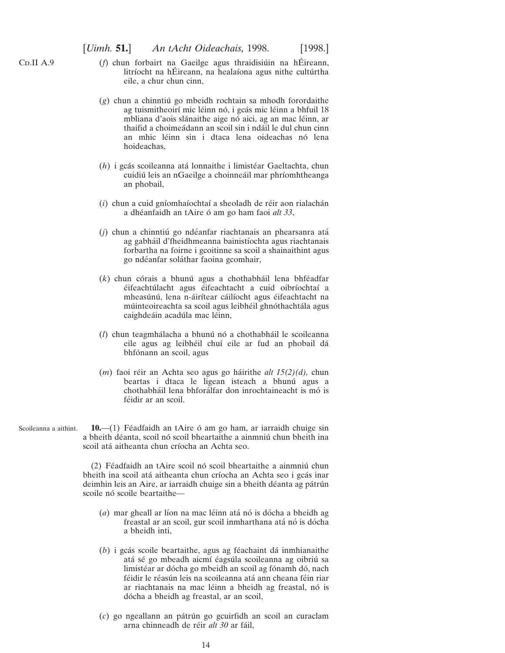- <span id="page-13-0"></span>(*f*) chun forbairt na Gaeilge agus thraidisiúin na hÉireann, litríocht na hÉireann, na healaíona agus nithe cultúrtha eile, a chur chun cinn,
- $(g)$  chun a chinntiú go mbeidh rochtain sa mhodh forordaithe ag tuismitheoirí mic léinn nó, i gcás mic léinn a bhfuil 18 mbliana d'aois slánaithe aige nó aici, ag an mac léinn, ar thaifid a choimeádann an scoil sin i ndáil le dul chun cinn an mhic léinn sin i dtaca lena oideachas nó lena hoideachas,
- (*h*) i gcás scoileanna atá lonnaithe i limistéar Gaeltachta, chun cuidiú leis an nGaeilge a choinneáil mar phríomhtheanga an phobail,
- $(i)$  chun a cuid gníomhaíochtaí a sheoladh de réir aon rialachán a dhéanfaidh an tAire ó am go ham faoi *alt 33*,
- $(i)$  chun a chinntiú go ndéanfar riachtanais an phearsanra atá ag gabháil d'fheidhmeanna bainistíochta agus riachtanais forbartha na foirne i gcoitinne sa scoil a shainaithint agus go ndéanfar soláthar faoina gcomhair,
- $(k)$  chun córais a bhunú agus a chothabháil lena bhféadfar éifeachtúlacht agus éifeachtacht a cuid oibríochtaí a mheasúnú, lena n-áirítear cáilíocht agus éifeachtacht na múinteoireachta sa scoil agus leibhéil ghnóthachtála agus caighdeáin acadúla mac léinn,
- (*l*) chun teagmhálacha a bhunú nó a chothabháil le scoileanna eile agus ag leibhéil chuí eile ar fud an phobail dá bhfónann an scoil, agus
- (*m*) faoi réir an Achta seo agus go háirithe *alt* 15(2)(*d*), chun beartas i dtaca le ligean isteach a bhunú agus a chothabháil lena bhforálfar don inrochtaineacht is mó is féidir ar an scoil.
- Scoileanna a aithint.  $10$ — $(1)$  Féadfaidh an tAire ó am go ham, ar iarraidh chuige sin a bheith déanta, scoil nó scoil bheartaithe a ainmniú chun bheith ina scoil atá aitheanta chun críocha an Achta seo.

 $(2)$  Féadfaidh an tAire scoil nó scoil bheartaithe a ainmniú chun bheith ina scoil atá aitheanta chun críocha an Achta seo i gcás inar deimhin leis an Aire, ar iarraidh chuige sin a bheith déanta ag pátrún scoile nó scoile beartaithe—

- (*a*) mar gheall ar líon na mac léinn atá nó is dócha a bheidh ag freastal ar an scoil, gur scoil inmharthana atá nó is dócha a bheidh inti,
- $(b)$  i gcás scoile beartaithe, agus ag féachaint dá inmhianaithe atá sé go mbeadh aicmí éagsúla scoileanna ag oibriú sa limistéar ar dócha go mbeidh an scoil ag fónamh dó, nach féidir le réasún leis na scoileanna atá ann cheana féin riar ar riachtanais na mac léinn a bheidh ag freastal, nó is dócha a bheidh ag freastal, ar an scoil,
- (*c*) go ngeallann an pa´tru´n go gcuirfidh an scoil an curaclam arna chinneadh de réir *alt 30* ar fáil.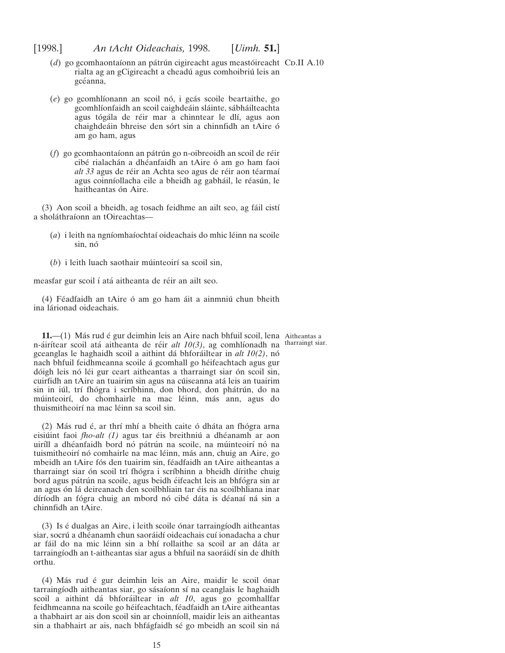- <span id="page-14-0"></span>(*d*) go gcomhaontaíonn an pátrún cigireacht agus meastóireacht CD.II A.10 rialta ag an gCigireacht a cheadú agus comhoibriú leis an gcéanna,
- (*e*) go gcomhlíonann an scoil nó, i gcás scoile beartaithe, go gcomhlíonfaidh an scoil caighdeáin sláinte, sábháilteachta agus tógála de réir mar a chinntear le dlí, agus aon chaighdeáin bhreise den sórt sin a chinnfidh an tAire ó am go ham, agus
- (*f*) go gcomhaontaíonn an pátrún go n-oibreoidh an scoil de réir cibé rialachán a dhéanfaidh an tAire ó am go ham faoi alt 33 agus de réir an Achta seo agus de réir aon téarmaí agus coinníollacha eile a bheidh ag gabháil, le réasún, le haitheantas ón Aire.

(3) Aon scoil a bheidh, ag tosach feidhme an ailt seo, ag fáil cistí a sholáthraíonn an tOireachtas-

- (*a*) i leith na ngníomhaíochtaí oideachais do mhic léinn na scoile sin, nó
- (*b*) i leith luach saothair múinteoirí sa scoil sin,

measfar gur scoil í atá aitheanta de réir an ailt seo.

(4) Féadfaidh an tAire ó am go ham áit a ainmniú chun bheith ina lárionad oideachais.

**11.**—(1) Más rud é gur deimhin leis an Aire nach bhfuil scoil, lena Aitheantas a n-áirítear scoil atá aitheanta de réir *alt 10(3)*, ag comhlíonadh na gceanglas le haghaidh scoil a aithint da´ bhfora´iltear in *alt 10(2)*, no´ nach bhfuil feidhmeanna scoile á gcomhall go héifeachtach agus gur dóigh leis nó léi gur ceart aitheantas a tharraingt siar ón scoil sin, cuirfidh an tAire an tuairim sin agus na cúiseanna atá leis an tuairim sin in iúl, trí fhógra i scríbhinn, don bhord, don phátrún, do na múinteoirí, do chomhairle na mac léinn, más ann, agus do thuismitheoirí na mac léinn sa scoil sin.

 $(2)$  Más rud é, ar thrí mhí a bheith caite ó dháta an fhógra arna eisiúint faoi *fho-alt (1)* agus tar éis breithniú a dhéanamh ar aon uiríll a dhéanfaidh bord nó pátrún na scoile, na múinteoirí nó na tuismitheoirí nó comhairle na mac léinn, más ann, chuig an Aire, go mbeidh an tAire fós den tuairim sin, féadfaidh an tAire aitheantas a tharraingt siar ón scoil trí fhógra i scríbhinn a bheidh dírithe chuig bord agus pátrún na scoile, agus beidh éifeacht leis an bhfógra sin ar an agus ón lá deireanach den scoilbhliain tar éis na scoilbhliana inar díríodh an fógra chuig an mbord nó cibé dáta is déanaí ná sin a chinnfidh an tAire.

 $(3)$  Is é dualgas an Aire, i leith scoile ónar tarraingíodh aitheantas siar, socrú a dhéanamh chun saoráidí oideachais cuí ionadacha a chur ar fáil do na mic léinn sin a bhí rollaithe sa scoil ar an dáta ar tarraingíodh an t-aitheantas siar agus a bhfuil na saoráidí sin de dhíth orthu.

(4) Más rud é gur deimhin leis an Aire, maidir le scoil ónar tarraingíodh aitheantas siar, go sásaíonn sí na ceanglais le haghaidh scoil a aithint dá bhforáiltear in *alt 10*, agus go gcomhallfar feidhmeanna na scoile go héifeachtach, féadfaidh an tAire aitheantas a thabhairt ar ais don scoil sin ar choinníoll, maidir leis an aitheantas sin a thabhairt ar ais, nach bhfágfaidh sé go mbeidh an scoil sin ná

tharraingt siar.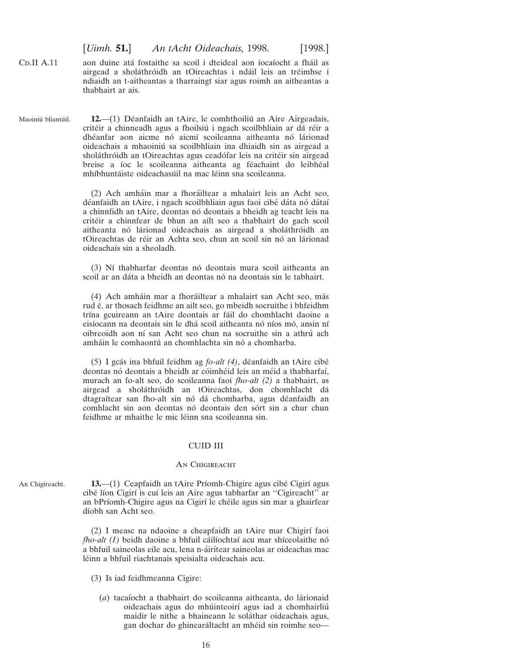[*Uimh.* **51.**] *An tAcht Oideachais,* 1998. [1998.]

<span id="page-15-0"></span> $CD.II A.11$ aon duine atá fostaithe sa scoil i dteideal aon íocaíocht a fháil as airgead a sholáthróidh an tOireachtas i ndáil leis an tréimhse i ndiaidh an t-aitheantas a tharraingt siar agus roimh an aitheantas a thabhairt ar ais.

Maoiniú bliantúil. 12.—(1) Déanfaidh an tAire, le comhthoiliú an Aire Airgeadais, critéir a chinneadh agus a fhoilsiú i ngach scoilbhliain ar dá réir a dhéanfar aon aicme nó aicmí scoileanna aitheanta nó lárionad oideachais a mhaoiniú sa scoilbhliain ina dhiaidh sin as airgead a sholáthróidh an tOireachtas agus ceadófar leis na critéir sin airgead breise a íoc le scoileanna aitheanta ag féachaint do leibhéal mhíbhuntáiste oideachasúil na mac léinn sna scoileanna.

> (2) Ach amháin mar a fhoráiltear a mhalairt leis an Acht seo, déanfaidh an tAire, i ngach scoilbhliain agus faoi cibé dáta nó dátaí a chinnfidh an tAire, deontas nó deontais a bheidh ag teacht leis na crite´ir a chinnfear de bhun an ailt seo a thabhairt do gach scoil aitheanta nó lárionad oideachais as airgead a sholáthróidh an tOireachtas de réir an Achta seo, chun an scoil sin nó an lárionad oideachais sin a sheoladh.

> (3) Ní thabharfar deontas nó deontais mura scoil aitheanta an scoil ar an dáta a bheidh an deontas nó na deontais sin le tabhairt.

> (4) Ach amháin mar a fhoráiltear a mhalairt san Acht seo, más rud é, ar thosach feidhme an ailt seo, go mbeidh socruithe i bhfeidhm trína gcuireann an tAire deontais ar fáil do chomhlacht daoine a eisíocann na deontais sin le dhá scoil aitheanta nó níos mó, ansin ní oibreoidh aon ní san Acht seo chun na socruithe sin a athrú ach amháin le comhaontú an chomhlachta sin nó a chomharba.

> (5) I gcás ina bhfuil feidhm ag *fo-alt (4)*, déanfaidh an tAire cibé deontas nó deontais a bheidh ar cóimhéid leis an méid a thabharfaí, murach an fo-alt seo, do scoileanna faoi *fho-alt (2)* a thabhairt, as airgead a sholáthróidh an tOireachtas, don chomhlacht dá dtagraítear san fho-alt sin nó dá chomharba, agus déanfaidh an comhlacht sin aon deontas nó deontais den sórt sin a chur chun feidhme ar mhaithe le mic léinn sna scoileanna sin.

#### CUID III

#### AN CHIGIREACHT

An Chigireacht. **13.**—(1) Ceapfaidh an tAire Príomh-Chigire agus cibé Cigirí agus cibé líon Cigirí is cuí leis an Aire agus tabharfar an "Cigireacht" ar an bPríomh-Chigire agus na Cigirí le chéile agus sin mar a ghairfear díobh san Acht seo.

> (2) I measc na ndaoine a cheapfaidh an tAire mar Chigirı´ faoi *fho-alt (1)* beidh daoine a bhfuil cáilíochtaí acu mar shíceolaithe nó a bhfuil saineolas eile acu, lena n-áirítear saineolas ar oideachas mac léinn a bhfuil riachtanais speisialta oideachais acu.

(3) Is iad feidhmeanna Cigire:

(*a*) tacaíocht a thabhairt do scoileanna aitheanta, do lárionaid oideachais agus do mhúinteoirí agus iad a chomhairliú maidir le nithe a bhaineann le soláthar oideachais agus, gan dochar do ghinearáltacht an mhéid sin roimhe seo-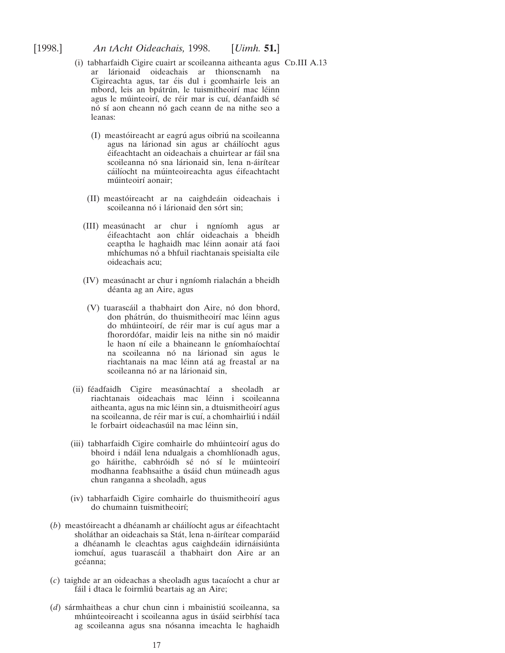- (i) tabharfaidh Cigire cuairt ar scoileanna aitheanta agus Co.III A.13 ar lárionaid oideachais ar thionscnamh na Cigireachta agus, tar éis dul i gcomhairle leis an mbord, leis an bpátrún, le tuismitheoirí mac léinn agus le múinteoirí, de réir mar is cuí, déanfaidh sé nó sí aon cheann nó gach ceann de na nithe seo a leanas:
	- (I) meastóireacht ar eagrú agus oibriú na scoileanna agus na lárionad sin agus ar cháilíocht agus éifeachtacht an oideachais a chuirtear ar fáil sna scoileanna nó sna lárionaid sin, lena n-áirítear cáilíocht na múinteoireachta agus éifeachtacht múinteoirí aonair;
	- (II) meastóireacht ar na caighdeáin oideachais i scoileanna nó i lárionaid den sórt sin;
	- (III) measúnacht ar chur i ngníomh agus ar éifeachtacht aon chlár oideachais a bheidh ceaptha le haghaidh mac léinn aonair atá faoi mhíchumas nó a bhfuil riachtanais speisialta eile oideachais acu;
	- (IV) measúnacht ar chur i ngníomh rialachán a bheidh déanta ag an Aire, agus
	- (V) tuarascáil a thabhairt don Aire, nó don bhord, don phátrún, do thuismitheoirí mac léinn agus do mhúinteoirí, de réir mar is cuí agus mar a fhorordófar, maidir leis na nithe sin nó maidir le haon ní eile a bhaineann le gníomhaíochtaí na scoileanna nó na lárionad sin agus le riachtanais na mac léinn atá ag freastal ar na scoileanna nó ar na lárionaid sin,
- (ii) féadfaidh Cigire measúnachtaí a sheoladh ar riachtanais oideachais mac léinn i scoileanna aitheanta, agus na mic léinn sin, a dtuismitheoirí agus na scoileanna, de réir mar is cuí, a chomhairliú i ndáil le forbairt oideachasúil na mac léinn sin,
- (iii) tabharfaidh Cigire comhairle do mhúinteoirí agus do bhoird i ndáil lena ndualgais a chomhlíonadh agus, go háirithe, cabhróidh sé nó sí le múinteoirí modhanna feabhsaithe a úsáid chun múineadh agus chun ranganna a sheoladh, agus
- (iv) tabharfaidh Cigire comhairle do thuismitheoirí agus do chumainn tuismitheoirı´;
- (b) meastóireacht a dhéanamh ar cháilíocht agus ar éifeachtacht sholáthar an oideachais sa Stát, lena n-áirítear comparáid a dhéanamh le cleachtas agus caighdeáin idirnáisiúnta iomchuí, agus tuarascáil a thabhairt don Aire ar an gcéanna;
- (*c*) taighde ar an oideachas a sheoladh agus tacaı´ocht a chur ar fáil i dtaca le foirmliú beartais ag an Aire;
- (*d*) sármhaitheas a chur chun cinn i mbainistiú scoileanna, sa mhúinteoireacht i scoileanna agus in úsáid seirbhísí taca ag scoileanna agus sna nósanna imeachta le haghaidh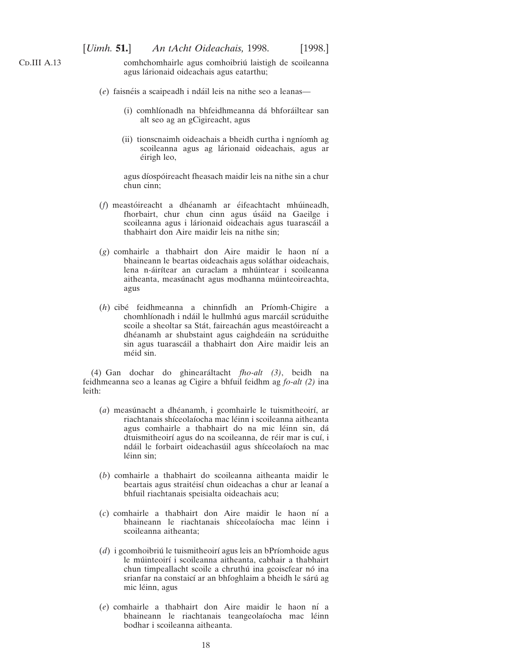$CD.III A.13$ 

comhchomhairle agus comhoibriu´ laistigh de scoileanna agus lárionaid oideachais agus eatarthu;

- (*e*) faisnéis a scaipeadh i ndáil leis na nithe seo a leanas—
	- (i) comhlíonadh na bhfeidhmeanna dá bhforáiltear san alt seo ag an gCigireacht, agus
	- (ii) tionscnaimh oideachais a bheidh curtha i ngnı´omh ag scoileanna agus ag lárionaid oideachais, agus ar éirigh leo,

agus díospóireacht fheasach maidir leis na nithe sin a chur chun cinn;

- (*f*) meastóireacht a dhéanamh ar éifeachtacht mhúineadh, fhorbairt, chur chun cinn agus úsáid na Gaeilge i scoileanna agus i lárionaid oideachais agus tuarascáil a thabhairt don Aire maidir leis na nithe sin;
- $(g)$  comhairle a thabhairt don Aire maidir le haon ní a bhaineann le beartas oideachais agus soláthar oideachais, lena n-áirítear an curaclam a mhúintear i scoileanna aitheanta, measúnacht agus modhanna múinteoireachta, agus
- (*h*) cibé feidhmeanna a chinnfidh an Príomh-Chigire a chomhlíonadh i ndáil le hullmhú agus marcáil scrúduithe scoile a sheoltar sa Stát, faireachán agus meastóireacht a dhéanamh ar shubstaint agus caighdeáin na scrúduithe sin agus tuarascáil a thabhairt don Aire maidir leis an méid sin.

(4) Gan dochar do ghineara´ltacht *fho-alt (3)*, beidh na feidhmeanna seo a leanas ag Cigire a bhfuil feidhm ag *fo-alt (2)* ina leith:

- (a) measúnacht a dhéanamh, i gcomhairle le tuismitheoirí, ar riachtanais shíceolaíocha mac léinn i scoileanna aitheanta agus comhairle a thabhairt do na mic léinn sin, dá dtuismitheoirí agus do na scoileanna, de réir mar is cuí, i ndáil le forbairt oideachasúil agus shíceolaíoch na mac léinn sin:
- (*b*) comhairle a thabhairt do scoileanna aitheanta maidir le beartais agus straitéisí chun oideachas a chur ar leanaí a bhfuil riachtanais speisialta oideachais acu;
- (*c*) comhairle a thabhairt don Aire maidir le haon nı´ a bhaineann le riachtanais shíceolaíocha mac léinn i scoileanna aitheanta;
- (*d*) i gcomhoibriú le tuismitheoirí agus leis an bPríomhoide agus le múinteoirí i scoileanna aitheanta, cabhair a thabhairt chun timpeallacht scoile a chruthú ina gcoiscfear nó ina srianfar na constaicí ar an bhfoghlaim a bheidh le sárú ag mic léinn, agus
- (*e*) comhairle a thabhairt don Aire maidir le haon nı´ a bhaineann le riachtanais teangeolaíocha mac léinn bodhar i scoileanna aitheanta.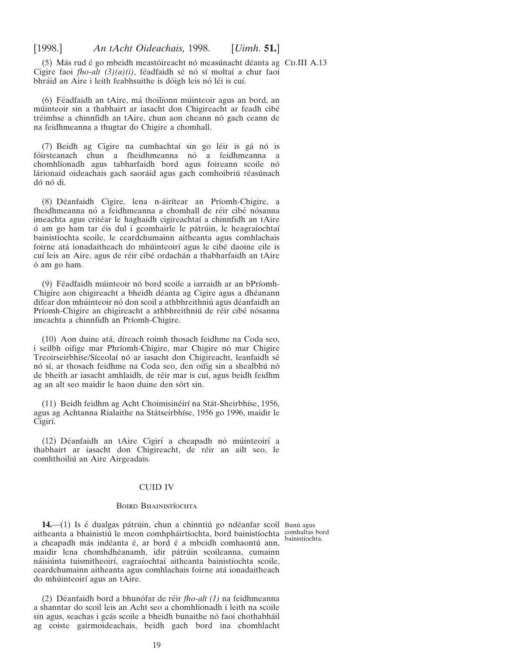<span id="page-18-0"></span>(5) Más rud é go mbeidh meastóireacht nó measúnacht déanta ag Co.III A.13 Cigire faoi *fho-alt*  $(3)(a)(i)$ , féadfaidh sé nó sí moltaí a chur faoi bhráid an Aire i leith feabhsuithe is dóigh leis nó léi is cuí.

(6) Féadfaidh an tAire, má thoilíonn múinteoir agus an bord, an múinteoir sin a thabhairt ar iasacht don Chigireacht ar feadh cibé tréimhse a chinnfidh an tAire, chun aon cheann nó gach ceann de na feidhmeanna a thugtar do Chigire a chomhall.

(7) Beidh ag Cigire na cumhachtaí sin go léir is gá nó is fóirsteanach chun a fheidhmeanna nó a feidhmeanna a chomhlíonadh agus tabharfaidh bord agus foireann scoile nó lárionaid oideachais gach saoráid agus gach comhoibriú réasúnach dó nó di.

(8) Déanfaidh Cigire, lena n-áirítear an Príomh-Chigire, a fheidhmeanna nó a feidhmeanna a chomhall de réir cibé nósanna imeachta agus critéar le haghaidh cigireachtaí a chinnfidh an tAire ó am go ham tar éis dul i gcomhairle le pátrúin, le heagraíochtaí bainistíochta scoile, le ceardchumainn aitheanta agus comhlachais foirne atá ionadaitheach do mhúinteoirí agus le cibé daoine eile is cuí leis an Aire, agus de réir cibé ordachán a thabharfaidh an tAire o´ am go ham.

(9) Féadfaidh múinteoir nó bord scoile a iarraidh ar an bPríomh-Chigire aon chigireacht a bheidh déanta ag Cigire agus a dhéanann difear don mhúinteoir nó don scoil a athbhreithniú agus déanfaidh an Príomh-Chigire an chigireacht a athbhreithniú de réir cibé nósanna imeachta a chinnfidh an Príomh-Chigire.

(10) Aon duine ata´, dı´reach roimh thosach feidhme na Coda seo, i seilbh oifige mar Phríomh-Chigire, mar Chigire nó mar Chigire Treoirseirbhíse/Síceolaí nó ar iasacht don Chigireacht, leanfaidh sé nó sí, ar thosach feidhme na Coda seo, den oifig sin a shealbhú nó de bheith ar iasacht amhlaidh, de réir mar is cuí, agus beidh feidhm ag an alt seo maidir le haon duine den sórt sin.

(11) Beidh feidhm ag Acht Choimisinéirí na Stát-Sheirbhíse, 1956, agus ag Achtanna Rialaithe na Státseirbhíse, 1956 go 1996, maidir le Cigirí.

(12) Déanfaidh an tAire Cigirí a cheapadh nó múinteoirí a thabhairt ar iasacht don Chigireacht, de réir an ailt seo, le comhthoiliú an Aire Airgeadais.

#### CUID IV

#### Boird Bhainistíochta

**14.**—(1) Is é dualgas pátrúin, chun a chinntiú go ndéanfar scoil Bunú agus aitheanta a bhainistiú le meon comhpháirtíochta, bord bainistíochta comhaltas bord a cheapadh más indéanta é, ar bord é a mbeidh comhaontú ann, maidir lena chomhdhéanamh, idir pátrúin scoileanna, cumainn náisiúnta tuismitheoirí, eagraíochtaí aitheanta bainistíochta scoile, ceardchumainn aitheanta agus comhlachais foirne ata´ ionadaitheach do mhúinteoirí agus an tAire.

(2) Déanfaidh bord a bhunófar de réir *fho-alt (1)* na feidhmeanna a shanntar do scoil leis an Acht seo a chomhlíonadh i leith na scoile sin agus, seachas i gcás scoile a bheidh bunaithe nó faoi chothabháil ag coiste gairmoideachais, beidh gach bord ina chomhlacht

bainistíochta.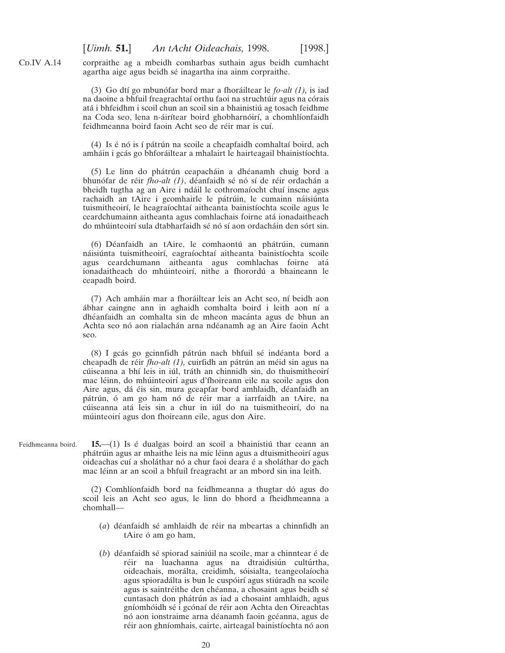$CD.IV A.14$ 

corpraithe ag a mbeidh comharbas suthain agus beidh cumhacht agartha aige agus beidh sé inagartha ina ainm corpraithe.

(3) Go dtí go mbunófar bord mar a fhoráiltear le *fo-alt (1)*, is iad na daoine a bhfuil freagrachtaí orthu faoi na struchtúir agus na córais atá i bhfeidhm i scoil chun an scoil sin a bhainistiú ag tosach feidhme na Coda seo, lena n-áirítear boird ghobharnóirí, a chomhlíonfaidh feidhmeanna boird faoin Acht seo de réir mar is cuí.

 $(4)$  Is é nó is í pátrún na scoile a cheapfaidh comhaltaí boird, ach amháin i gcás go bhforáiltear a mhalairt le hairteagail bhainistíochta.

 $(5)$  Le linn do phátrún ceapacháin a dhéanamh chuig bord a bhunófar de réir *fho-alt (1)*, déanfaidh sé nó sí de réir ordachán a bheidh tugtha ag an Aire i ndáil le cothromaíocht chuí inscne agus rachaidh an tAire i gcomhairle le pátrúin, le cumainn náisiúnta tuismitheoirí, le heagraíochtaí aitheanta bainistíochta scoile agus le ceardchumainn aitheanta agus comhlachais foirne ata´ ionadaitheach do mhúinteoirí sula dtabharfaidh sé nó sí aon ordacháin den sórt sin.

(6) Déanfaidh an tAire, le comhaontú an phátrúin, cumann náisiúnta tuismitheoirí, eagraíochtaí aitheanta bainistíochta scoile agus ceardchumann aitheanta agus comhlachas foirne ata´ ionadaitheach do mhúinteoirí, nithe a fhorordú a bhaineann le ceapadh boird.

(7) Ach amháin mar a fhoráiltear leis an Acht seo, ní beidh aon ábhar caingne ann in aghaidh comhalta boird i leith aon ní a dhéanfaidh an comhalta sin de mheon macánta agus de bhun an Achta seo nó aon rialachán arna ndéanamh ag an Aire faoin Acht seo.

(8) I gcás go gcinnfidh pátrún nach bhfuil sé indéanta bord a cheapadh de réir *fho-alt (1)*, cuirfidh an pátrún an méid sin agus na cúiseanna a bhí leis in iúl, tráth an chinnidh sin, do thuismitheoirí mac léinn, do mhúinteoirí agus d'fhoireann eile na scoile agus don Aire agus, dá éis sin, mura gceapfar bord amhlaidh, déanfaidh an pátrún, ó am go ham nó de réir mar a iarrfaidh an tAire, na cúiseanna atá leis sin a chur in iúl do na tuismitheoirí, do na múinteoirí agus don fhoireann eile, agus don Aire.

Feidhmeanna boird. **15.**—(1) Is é dualgas boird an scoil a bhainistiú thar ceann an phátrúin agus ar mhaithe leis na mic léinn agus a dtuismitheoirí agus oideachas cuí a sholáthar nó a chur faoi deara é a sholáthar do gach mac léinn ar an scoil a bhfuil freagracht ar an mbord sin ina leith.

> (2) Comhlíonfaidh bord na feidhmeanna a thugtar dó agus do scoil leis an Acht seo agus, le linn do bhord a fheidhmeanna a chomhall—

- (*a*) déanfaidh sé amhlaidh de réir na mbeartas a chinnfidh an tAire ó am go ham,
- $(b)$  déanfaidh sé spiorad sainiúil na scoile, mar a chinntear é de réir na luachanna agus na dtraidisiún cultúrtha, oideachais, morálta, creidimh, sóisialta, teangeolaíocha agus spioradálta is bun le cuspóirí agus stiúradh na scoile agus is saintréithe den chéanna, a chosaint agus beidh sé cuntasach don phátrún as iad a chosaint amhlaidh, agus gníomhóidh sé i gcónaí de réir aon Achta den Oireachtas nó aon ionstraime arna déanamh faoin gcéanna, agus de réir aon ghníomhais, cairte, airteagal bainistíochta nó aon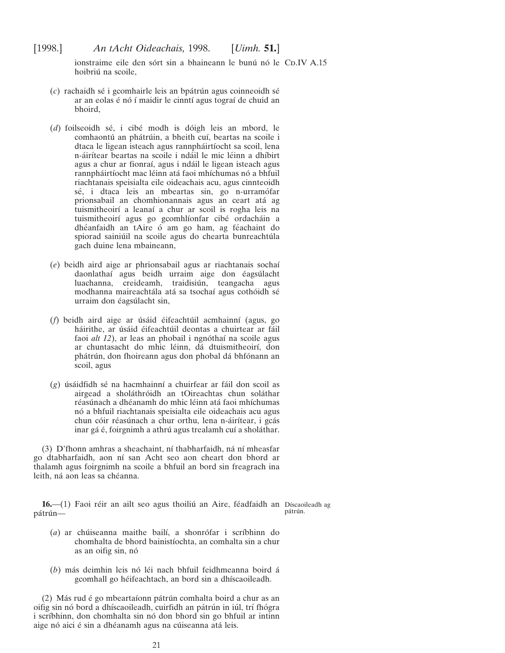<span id="page-20-0"></span>ionstraime eile den sórt sin a bhaineann le bunú nó le CD.IV A.15 hoibriú na scoile,

- $(c)$  rachaidh sé i gcomhairle leis an bpátrún agus coinneoidh sé ar an eolas é nó í maidir le cinntí agus tograí de chuid an bhoird,
- (*d*) foilseoidh sé, i cibé modh is dóigh leis an mbord, le comhaontú an phátrúin, a bheith cuí, beartas na scoile i dtaca le ligean isteach agus rannpháirtíocht sa scoil, lena n-áirítear beartas na scoile i ndáil le mic léinn a dhíbirt agus a chur ar fionraí, agus i ndáil le ligean isteach agus rannpháirtíocht mac léinn atá faoi mhíchumas nó a bhfuil riachtanais speisialta eile oideachais acu, agus cinnteoidh sé, i dtaca leis an mbeartas sin, go n-urramófar prionsabail an chomhionannais agus an ceart ata´ ag tuismitheoirí a leanaí a chur ar scoil is rogha leis na tuismitheoirí agus go gcomhlíonfar cibé ordacháin a dhéanfaidh an tAire ó am go ham, ag féachaint do spiorad sainiúil na scoile agus do chearta bunreachtúla gach duine lena mbaineann,
- (*e*) beidh aird aige ar phrionsabail agus ar riachtanais sochaı´ daonlathaí agus beidh urraim aige don éagsúlacht luachanna, creideamh, traidisiún, teangacha agus modhanna maireachtála atá sa tsochaí agus cothóidh sé urraim don éagsúlacht sin,
- (*f*) beidh aird aige ar úsáid éifeachtúil acmhainní (agus, go háirithe, ar úsáid éifeachtúil deontas a chuirtear ar fáil faoi *alt 12*), ar leas an phobail i ngnóthaí na scoile agus ar chuntasacht do mhic léinn, dá dtuismitheoirí, don phátrún, don fhoireann agus don phobal dá bhfónann an scoil, agus
- (g) úsáidfidh sé na hacmhainní a chuirfear ar fáil don scoil as airgead a sholáthróidh an tOireachtas chun soláthar réasúnach a dhéanamh do mhic léinn atá faoi mhíchumas nó a bhfuil riachtanais speisialta eile oideachais acu agus chun cóir réasúnach a chur orthu, lena n-áirítear, i gcás inar gá é, foirgnimh a athrú agus trealamh cuí a sholáthar.

(3) D'fhonn amhras a sheachaint, ní thabharfaidh, ná ní mheasfar go dtabharfaidh, aon ní san Acht seo aon cheart don bhord ar thalamh agus foirgnimh na scoile a bhfuil an bord sin freagrach ina leith, ná aon leas sa chéanna.

**16.**—(1) Faoi réir an ailt seo agus thoiliú an Aire, féadfaidh an Díscaoileadh ag pátrún pátrún.

- (*a*) ar chúiseanna maithe bailí, a shonrófar i scríbhinn do chomhalta de bhord bainistíochta, an comhalta sin a chur as an oifig sin, nó
- (b) más deimhin leis nó léi nach bhfuil feidhmeanna boird á gcomhall go héifeachtach, an bord sin a dhíscaoileadh.

(2) Más rud é go mbeartaíonn pátrún comhalta boird a chur as an oifig sin nó bord a dhíscaoileadh, cuirfidh an pátrún in iúl, trí fhógra i scríbhinn, don chomhalta sin nó don bhord sin go bhfuil ar intinn aige nó aici é sin a dhéanamh agus na cúiseanna atá leis.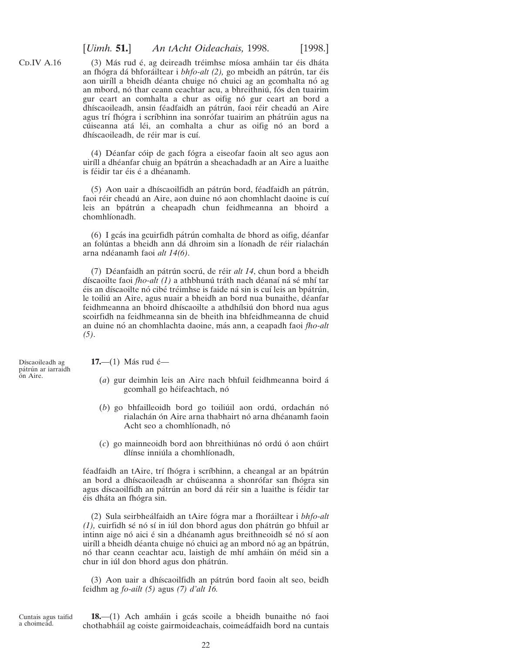# [*Uimh.* **51.**] *An tAcht Oideachais,* 1998. [1998.]

<span id="page-21-0"></span> $CD.IV A.16$ 

(3) Más rud é, ag deireadh tréimhse míosa amháin tar éis dháta an fhógra dá bhforáiltear i bhfo-alt (2), go mbeidh an pátrún, tar éis aon uiríll a bheidh déanta chuige nó chuici ag an gcomhalta nó ag an mbord, nó thar ceann ceachtar acu, a bhreithniú, fós den tuairim gur ceart an comhalta a chur as oifig nó gur ceart an bord a dhíscaoileadh, ansin féadfaidh an pátrún, faoi réir cheadú an Aire agus trí fhógra i scríbhinn ina sonrófar tuairim an phátrúin agus na cúiseanna atá léi, an comhalta a chur as oifig nó an bord a dhíscaoileadh, de réir mar is cuí.

(4) Déanfar cóip de gach fógra a eiseofar faoin alt seo agus aon uiríll a dhéanfar chuig an bpátrún a sheachadadh ar an Aire a luaithe is féidir tar éis é a dhéanamh.

(5) Aon uair a dhíscaoilfidh an pátrún bord, féadfaidh an pátrún, faoi réir cheadú an Aire, aon duine nó aon chomhlacht daoine is cuí leis an bpátrún a cheapadh chun feidhmeanna an bhoird a chomhlíonadh.

 $(6)$  I gcás ina gcuirfidh pátrún comhalta de bhord as oifig, déanfar an folúntas a bheidh ann dá dhroim sin a líonadh de réir rialachán arna nde´anamh faoi *alt 14(6)*.

(7) Déanfaidh an pátrún socrú, de réir *alt 14*, chun bord a bheidh díscaoilte faoi *fho-alt (1)* a athbhunú tráth nach déanaí ná sé mhí tar éis an díscaoilte nó cibé tréimhse is faide ná sin is cuí leis an bpátrún, le toiliú an Aire, agus nuair a bheidh an bord nua bunaithe, déanfar feidhmeanna an bhoird dhíscaoilte a athdhílsiú don bhord nua agus scoirfidh na feidhmeanna sin de bheith ina bhfeidhmeanna de chuid an duine nó an chomhlachta daoine, más ann, a ceapadh faoi *fho-alt (5)*.

Díscaoileadh ag pátrún ar iarraidh on Aire.

**17.**—(1) Más rud é—

- (*a*) gur deimhin leis an Aire nach bhfuil feidhmeanna boird a´ gcomhall go héifeachtach, nó
- (b) go bhfailleoidh bord go toiliúil aon ordú, ordachán nó rialachán ón Aire arna thabhairt nó arna dhéanamh faoin Acht seo a chomhlíonadh, nó
- (c) go mainneoidh bord aon bhreithiúnas nó ordú ó aon chúirt dlínse inniúla a chomhlíonadh,

féadfaidh an tAire, trí fhógra i scríbhinn, a cheangal ar an bpátrún an bord a dhíscaoileadh ar chúiseanna a shonrófar san fhógra sin agus díscaoilfidh an pátrún an bord dá réir sin a luaithe is féidir tar éis dháta an fhógra sin.

(2) Sula seirbheálfaidh an tAire fógra mar a fhoráiltear i bhfo-alt  $(1)$ , cuirfidh sé nó sí in iúl don bhord agus don phátrún go bhfuil ar intinn aige nó aici é sin a dhéanamh agus breithneoidh sé nó sí aon uiríll a bheidh déanta chuige nó chuici ag an mbord nó ag an bpátrún, nó thar ceann ceachtar acu, laistigh de mhí amháin ón méid sin a chur in iúl don bhord agus don phátrún.

(3) Aon uair a dhíscaoilfidh an pátrún bord faoin alt seo, beidh feidhm ag *fo-ailt (5)* agus *(7) d'alt 16.*

Cuntais agus taifid a choimead.

18.—(1) Ach amháin i gcás scoile a bheidh bunaithe nó faoi chothabháil ag coiste gairmoideachais, coimeádfaidh bord na cuntais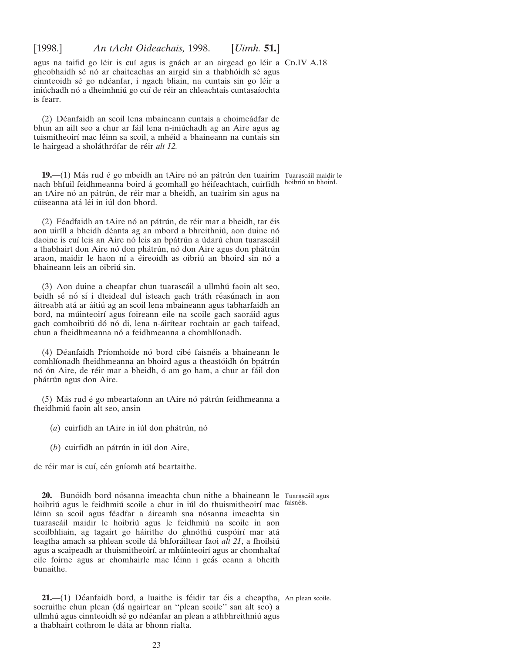<span id="page-22-0"></span>agus na taifid go léir is cuí agus is gnách ar an airgead go léir a CD.IV A.18 gheobhaidh sé nó ar chaiteachas an airgid sin a thabhóidh sé agus cinnteoidh sé go ndéanfar, i ngach bliain, na cuntais sin go léir a iniú chadh nó a dheimhniú go cuí de réir an chleachtais cuntasaíochta is fearr.

(2) Déanfaidh an scoil lena mbaineann cuntais a choimeádfar de bhun an ailt seo a chur ar fáil lena n-iniú chadh ag an Aire agus ag tuismitheoirí mac léinn sa scoil, a mhéid a bhaineann na cuntais sin le hairgead a sholáthrófar de réir *alt 12*.

**19.**—(1) Más rud é go mbeidh an tAire nó an pátrún den tuairim Tuarascáil maidir le nach bhfuil feidhmeanna boird á gcomhall go héifeachtach, cuirfidh hoibriú an bhoird. an tAire nó an pátrún, de réir mar a bheidh, an tuairim sin agus na cúiseanna atá léi in iúl don bhord.

(2) Féadfaidh an tAire nó an pátrún, de réir mar a bheidh, tar éis aon uiríll a bheidh déanta ag an mbord a bhreithniú, aon duine nó daoine is cuí leis an Aire nó leis an bpátrún a údarú chun tuarascáil a thabhairt don Aire nó don phátrún, nó don Aire agus don phátrún araon, maidir le haon ní a éireoidh as oibriú an bhoird sin nó a bhaineann leis an oibriú sin.

(3) Aon duine a cheapfar chun tuarascáil a ullmhú faoin alt seo, beidh sé nó sí i dteideal dul isteach gach tráth réasúnach in aon a´itreabh ata´ ar a´itiu´ ag an scoil lena mbaineann agus tabharfaidh an bord, na múinteoirí agus foireann eile na scoile gach saoráid agus gach comhoibriú dó nó di, lena n-áirítear rochtain ar gach taifead, chun a fheidhmeanna nó a feidhmeanna a chomhlíonadh.

(4) Déanfaidh Príomhoide nó bord cibé faisnéis a bhaineann le comhlíonadh fheidhmeanna an bhoird agus a theastóidh ón bpátrún nó ón Aire, de réir mar a bheidh, ó am go ham, a chur ar fáil don phátrún agus don Aire.

(5) Más rud é go mbeartaíonn an tAire nó pátrún feidhmeanna a fheidhmiú faoin alt seo, ansin-

- $(a)$  cuirfidh an tAire in iúl don phátrún, nó
- $(b)$  cuirfidh an pátrún in iúl don Aire,

de réir mar is cuí, cén gníomh atá beartaithe.

**20.—Bunóidh bord nósanna imeachta chun nithe a bhaineann le Tuarascáil agus** hoibriú agus le feidhmiú scoile a chur in iúl do thuismitheoirí mac faisnéis. léinn sa scoil agus féadfar a áireamh sna nósanna imeachta sin tuarascáil maidir le hoibriú agus le feidhmiú na scoile in aon scoilbhliain, ag tagairt go háirithe do ghnóthú cuspóirí mar atá leagtha amach sa phlean scoile dá bhforáiltear faoi *alt 21*, a fhoilsiú agus a scaipeadh ar thuismitheoirí, ar mhúinteoirí agus ar chomhaltaí eile foirne agus ar chomhairle mac léinn i gcás ceann a bheith bunaithe.

**21.**—(1) Déanfaidh bord, a luaithe is féidir tar éis a cheaptha, An plean scoile. socruithe chun plean (dá ngairtear an "plean scoile" san alt seo) a ullmhú agus cinnteoidh sé go ndéanfar an plean a athbhreithniú agus a thabhairt cothrom le dáta ar bhonn rialta.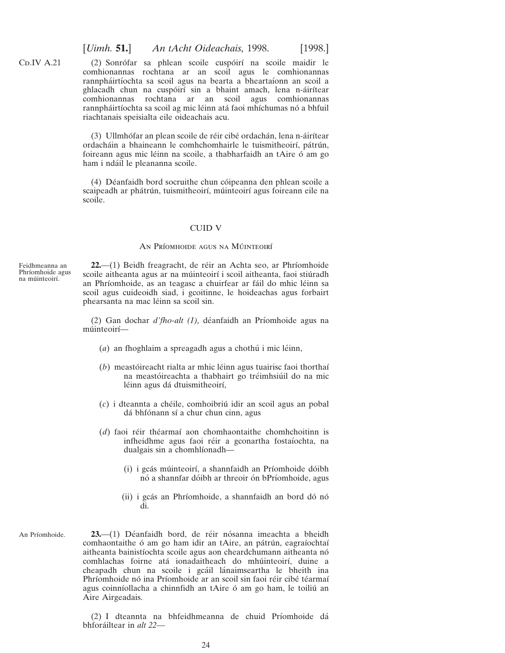[*Uimh.* **51.**] *An tAcht Oideachais,* 1998. [1998.]

(2) Sonrófar sa phlean scoile cuspóirí na scoile maidir le comhionannas rochtana ar an scoil agus le comhionannas rannpháirtíochta sa scoil agus na bearta a bheartaíonn an scoil a ghlacadh chun na cuspóirí sin a bhaint amach, lena n-áirítear comhionannas rochtana ar an scoil agus comhionannas rannpháirtíochta sa scoil ag mic léinn atá faoi mhíchumas nó a bhfuil riachtanais speisialta eile oideachais acu.

(3) Ullmhófar an plean scoile de réir cibé ordachán, lena n-áirítear ordacháin a bhaineann le comhchomhairle le tuismitheoirí, pátrún, foireann agus mic léinn na scoile, a thabharfaidh an tAire ó am go ham i ndáil le pleananna scoile.

(4) Déanfaidh bord socruithe chun cói peanna den phlean scoile a scaipeadh ar phátrún, tuismitheoirí, múinteoirí agus foireann eile na scoile.

## CUID V

#### AN PRÍOMHOIDE AGUS NA MÚINTEOIRÍ

Feidhmeanna an Phríomhoide agus na múinteoirí.

<span id="page-23-0"></span> $CD.IV A.21$ 

**22.**—(1) Beidh freagracht, de réir an Achta seo, ar Phríomhoide scoile aitheanta agus ar na múinteoirí i scoil aitheanta, faoi stiúradh an Phríomhoide, as an teagasc a chuirfear ar fáil do mhic léinn sa scoil agus cuideoidh siad, i gcoitinne, le hoideachas agus forbairt phearsanta na mac léinn sa scoil sin.

(2) Gan dochar *d'fho-alt (1)*, déanfaidh an Príomhoide agus na múinteoirí—

- $(a)$  an fhoghlaim a spreagadh agus a chothú i mic léinn,
- (*b*) meastóireacht rialta ar mhic léinn agus tuairisc faoi thorthaí na meastóireachta a thabhairt go tréimhsiúil do na mic léinn agus dá dtuismitheoirí,
- (*c*) i dteannta a che´ile, comhoibriu´ idir an scoil agus an pobal dá bhfónann sí a chur chun cinn, agus
- (*d*) faoi réir théarmaí aon chomhaontaithe chomhchoitinn is infheidhme agus faoi réir a gconartha fostaíochta, na dualgais sin a chomhlíonadh—
	- (i) i gcás múinteoirí, a shannfaidh an Príomhoide dóibh nó a shannfar dóibh ar threoir ón bPríomhoide, agus
	- (ii) i gcás an Phríomhoide, a shannfaidh an bord dó nó di.
- An Príomhoide. **23.**—(1) Déanfaidh bord, de réir nósanna imeachta a bheidh comhaontaithe ó am go ham idir an tAire, an pátrún, eagraíochtaí aitheanta bainistíochta scoile agus aon cheardchumann aitheanta nó comhlachas foirne atá ionadaitheach do mhúinteoirí, duine a cheapadh chun na scoile i gcáil lánaimseartha le bheith ina Phríomhoide nó ina Príomhoide ar an scoil sin faoi réir cibé téarmaí agus coinníollacha a chinnfidh an tAire ó am go ham, le toiliú an Aire Airgeadais.

(2) I dteannta na bhfeidhmeanna de chuid Prı´omhoide da´ bhfora´iltear in *alt 22*—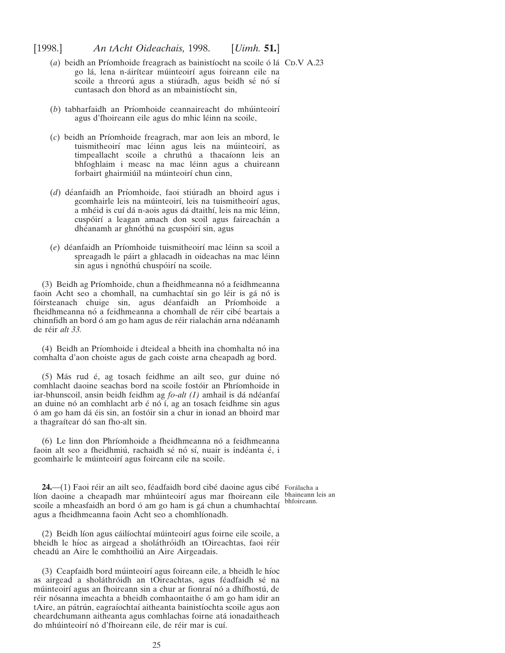- <span id="page-24-0"></span>(*a*) beidh an Príomhoide freagrach as bainistíocht na scoile ó lá CD.V A.23 go lá, lena n-áirítear múinteoirí agus foireann eile na scoile a threorú agus a stiúradh, agus beidh sé nó sí cuntasach don bhord as an mbainistíocht sin,
- (b) tabharfaidh an Príomhoide ceannaireacht do mhúinteoirí agus d'fhoireann eile agus do mhic léinn na scoile,
- (*c*) beidh an Prı´omhoide freagrach, mar aon leis an mbord, le tuismitheoirí mac léinn agus leis na múinteoirí, as timpeallacht scoile a chruthú a thacaíonn leis an bhfoghlaim i measc na mac léinn agus a chuireann forbairt ghairmiúil na múinteoirí chun cinn,
- (*d*) déanfaidh an Príomhoide, faoi stiúradh an bhoird agus i gcomhairle leis na múinteoirí, leis na tuismitheoirí agus, a mhéid is cuí dá n-aois agus dá dtaithí, leis na mic léinn, cuspóirí a leagan amach don scoil agus faireachán a dhéanamh ar ghnóthú na gcuspóirí sin, agus
- (*e*) déanfaidh an Príomhoide tuismitheoirí mac léinn sa scoil a spreagadh le páirt a ghlacadh in oideachas na mac léinn sin agus i ngnóthú chuspóirí na scoile.

(3) Beidh ag Príomhoide, chun a fheidhmeanna nó a feidhmeanna faoin Acht seo a chomhall, na cumhachtaí sin go léir is gá nó is fóirsteanach chuige sin, agus déanfaidh an Príomhoide a fheidhmeanna nó a feidhmeanna a chomhall de réir cibé beartais a chinnfidh an bord ó am go ham agus de réir rialachán arna ndéanamh de réir *alt 33*.

(4) Beidh an Príomhoide i dteideal a bheith ina chomhalta nó ina comhalta d'aon choiste agus de gach coiste arna cheapadh ag bord.

(5) Más rud é, ag tosach feidhme an ailt seo, gur duine nó comhlacht daoine seachas bord na scoile fostóir an Phríomhoide in iar-bhunscoil, ansin beidh feidhm ag *fo-alt (1)* amhail is dá ndéanfaí an duine nó an comhlacht arb é nó í, ag an tosach feidhme sin agus ó am go ham dá éis sin, an fostóir sin a chur in ionad an bhoird mar a thagraítear dó san fho-alt sin.

(6) Le linn don Phríomhoide a fheidhmeanna nó a feidhmeanna faoin alt seo a fheidhmiú, rachaidh sé nó sí, nuair is indéanta é, i gcomhairle le múinteoirí agus foireann eile na scoile.

**24.—(1)** Faoi réir an ailt seo, féadfaidh bord cibé daoine agus cibé Forálacha a líon daoine a cheapadh mar mhúinteoirí agus mar fhoireann eile bhaineann leis an scoile a mheasfaidh an bord ó am go ham is gá chun a chumhachtaí agus a fheidhmeanna faoin Acht seo a chomhlíonadh.

(2) Beidh líon agus cáilíochtaí múinteoirí agus foirne eile scoile, a bheidh le híoc as airgead a sholáthróidh an tOireachtas, faoi réir cheadú an Aire le comhthoiliú an Aire Airgeadais.

(3) Ceapfaidh bord múinteoirí agus foireann eile, a bheidh le híoc as airgead a sholáthróidh an tOireachtas, agus féadfaidh sé na múinteoirí agus an fhoireann sin a chur ar fionraí nó a dhífhostú, de réir nósanna imeachta a bheidh comhaontaithe ó am go ham idir an tAire, an pátrún, eagraíochtaí aitheanta bainistíochta scoile agus aon cheardchumann aitheanta agus comhlachas foirne ata´ ionadaitheach do mhúinteoirí nó d'fhoireann eile, de réir mar is cuí.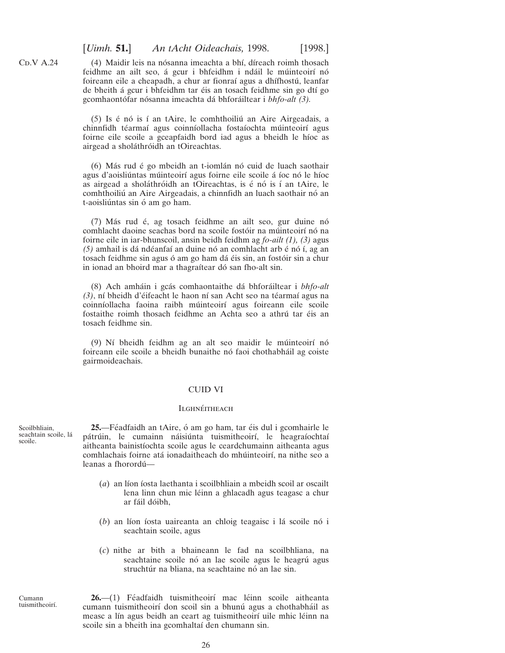(4) Maidir leis na nósanna imeachta a bhí, díreach roimh thosach feidhme an ailt seo, á gcur i bhfeidhm i ndáil le múinteoirí nó foireann eile a cheapadh, a chur ar fionraí agus a dhífhostú, leanfar de bheith á gcur i bhfeidhm tar éis an tosach feidhme sin go dtí go gcomhaontófar nósanna imeachta dá bhforáiltear i *bhfo-alt (3)*.

 $(5)$  Is é nó is í an tAire, le comhthoiliú an Aire Airgeadais, a chinnfidh téarmaí agus coinníollacha fostaíochta múinteoirí agus foirne eile scoile a gceapfaidh bord iad agus a bheidh le híoc as airgead a sholáthróidh an tOireachtas.

(6) Más rud é go mbeidh an t-iomlán nó cuid de luach saothair agus d'aoisliúntas múinteoirí agus foirne eile scoile á íoc nó le híoc as airgead a sholáthróidh an tOireachtas, is é nó is í an tAire, le comhthoiliú an Aire Airgeadais, a chinnfidh an luach saothair nó an t-aoisliúntas sin ó am go ham.

 $(7)$  Más rud é, ag tosach feidhme an ailt seo, gur duine nó comhlacht daoine seachas bord na scoile fostóir na múinteoirí nó na foirne eile in iar-bhunscoil, ansin beidh feidhm ag *fo-ailt (1), (3)* agus *(5)* amhail is dá ndéanfaí an duine nó an comhlacht arb é nó í, ag an tosach feidhme sin agus ó am go ham dá éis sin, an fostóir sin a chur in ionad an bhoird mar a thagraítear dó san fho-alt sin.

(8) Ach amha´in i gca´s comhaontaithe da´ bhfora´iltear i *bhfo-alt* (3), ní bheidh d'éifeacht le haon ní san Acht seo na téarmaí agus na coinníollacha faoina raibh múinteoirí agus foireann eile scoile fostaithe roimh thosach feidhme an Achta seo a athrú tar éis an tosach feidhme sin.

(9) Ní bheidh feidhm ag an alt seo maidir le múinteoirí nó foireann eile scoile a bheidh bunaithe nó faoi chothabháil ag coiste gairmoideachais.

## CUID VI

## **ILGHNÉITHEACH**

**25.**—Féadfaidh an tAire, ó am go ham, tar éis dul i gcomhairle le pátrúin, le cumainn náisiúnta tuismitheoirí, le heagraíochtaí aitheanta bainistíochta scoile agus le ceardchumainn aitheanta agus comhlachais foirne atá ionadaitheach do mhúinteoirí, na nithe seo a leanas a fhorordú—

- $(a)$  an líon íosta laethanta i scoilbhliain a mbeidh scoil ar oscailt lena linn chun mic léinn a ghlacadh agus teagasc a chur ar fáil dóibh,
- $(b)$  an líon íosta uaireanta an chloig teagaisc i lá scoile nó i seachtain scoile, agus
- (*c*) nithe ar bith a bhaineann le fad na scoilbhliana, na seachtaine scoile nó an lae scoile agus le heagrú agus struchtúr na bliana, na seachtaine nó an lae sin.

Cumann tuismitheoirí.

Scoilbhliain, seachtain scoile, lá

scoile.

<span id="page-25-0"></span> $CD.V A.24$ 

26.—(1) Féadfaidh tuismitheoirí mac léinn scoile aitheanta cumann tuismitheoirí don scoil sin a bhunú agus a chothabháil as measc a lín agus beidh an ceart ag tuismitheoirí uile mhic léinn na scoile sin a bheith ina gcomhaltaí den chumann sin.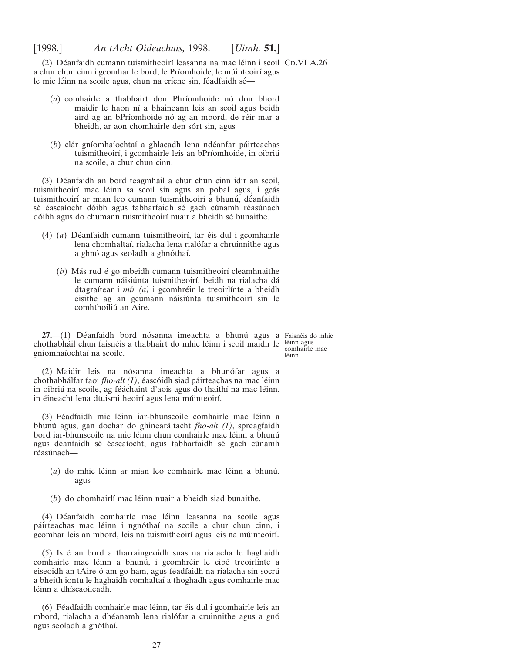<span id="page-26-0"></span>(2) Déanfaidh cumann tuismitheoirí leasanna na mac léinn i scoil CD.VI A.26 a chur chun cinn i gcomhar le bord, le Príomhoide, le múinteoirí agus le mic léinn na scoile agus, chun na críche sin, féadfaidh sé—

- (*a*) comhairle a thabhairt don Phríomhoide nó don bhord maidir le haon ní a bhaineann leis an scoil agus beidh aird ag an bPríomhoide nó ag an mbord, de réir mar a bheidh, ar aon chomhairle den sórt sin, agus
- (b) clár gníomhaíochtaí a ghlacadh lena ndéanfar páirteachas tuismitheoirí, i gcomhairle leis an bPríomhoide, in oibriú na scoile, a chur chun cinn.

(3) Déanfaidh an bord teagmháil a chur chun cinn idir an scoil, tuismitheoirí mac léinn sa scoil sin agus an pobal agus, i gcás tuismitheoirí ar mian leo cumann tuismitheoirí a bhunú, déanfaidh sé éascaíocht dóibh agus tabharfaidh sé gach cúnamh réasúnach dóibh agus do chumann tuismitheoirí nuair a bheidh sé bunaithe.

- (4) (*a*) Déanfaidh cumann tuismitheoirí, tar éis dul i gcomhairle lena chomhaltaí, rialacha lena rialófar a chruinnithe agus a ghnó agus seoladh a ghnóthaí.
	- (*b*) Más rud é go mbeidh cumann tuismitheoirí cleamhnaithe le cumann náisiúnta tuismitheoirí, beidh na rialacha dá dtagraítear i *mír (a)* i gcomhréir le treoirlínte a bheidh eisithe ag an gcumann náisiúnta tuismitheoirí sin le comhthoiliú an Aire.

**27.**—(1) Déanfaidh bord nósanna imeachta a bhunú agus a Faisnéis do mhic chothabháil chun faisnéis a thabhairt do mhic léinn i scoil maidir le léinn agus gníomhaíochtaí na scoile.

comhairle mac léinn.

(2) Maidir leis na nósanna imeachta a bhunófar agus a chothabhálfar faoi *fho-alt (1)*, éascóidh siad páirteachas na mac léinn in oibriú na scoile, ag féáchaint d'aois agus do thaithí na mac léinn, in éineacht lena dtuismitheoirí agus lena múinteoirí.

(3) Féadfaidh mic léinn iar-bhunscoile comhairle mac léinn a bhunú agus, gan dochar do ghinearáltacht *fho-alt (1)*, spreagfaidh bord iar-bhunscoile na mic léinn chun comhairle mac léinn a bhunú agus déanfaidh sé éascaíocht, agus tabharfaidh sé gach cúnamh réasúnach—

- (a) do mhic léinn ar mian leo comhairle mac léinn a bhunú, agus
- $(b)$  do chomhairlí mac léinn nuair a bheidh siad bunaithe.

(4) Déanfaidh comhairle mac léinn leasanna na scoile agus páirteachas mac léinn i ngnóthaí na scoile a chur chun cinn, i gcomhar leis an mbord, leis na tuismitheoirí agus leis na múinteoirí.

(5) Is é an bord a tharraingeoidh suas na rialacha le haghaidh comhairle mac léinn a bhunú, i gcomhréir le cibé treoirlínte a eiseoidh an tAire ó am go ham, agus féadfaidh na rialacha sin socrú a bheith iontu le haghaidh comhaltaí a thoghadh agus comhairle mac léinn a dhíscaoileadh.

(6) Féadfaidh comhairle mac léinn, tar éis dul i gcomhairle leis an mbord, rialacha a dhéanamh lena rialófar a cruinnithe agus a gnó agus seoladh a gnóthaí.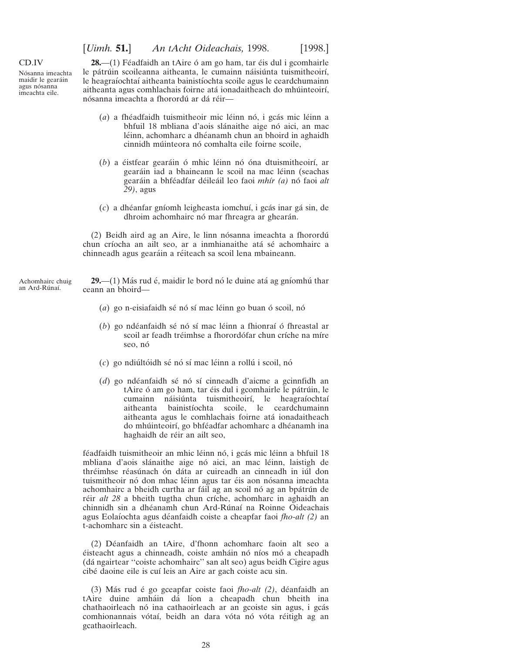[*Uimh.* **51.**] *An tAcht Oideachais,* 1998. [1998.]

#### <span id="page-27-0"></span>CD.IV

Nósanna imeachta maidir le gearáin agus nósanna imeachta eile.

 $28$ —(1) Féadfaidh an tAire ó am go ham, tar éis dul i gcomhairle le pátrúin scoileanna aitheanta, le cumainn náisiúnta tuismitheoirí, le heagraíochtaí aitheanta bainistíochta scoile agus le ceardchumainn aitheanta agus comhlachais foirne atá ionadaitheach do mhúinteoirí, nósanna imeachta a fhorordú ar dá réir—

- (*a*) a fhéadfaidh tuismitheoir mic léinn nó, i gcás mic léinn a bhfuil 18 mbliana d'aois slánaithe aige nó aici, an mac léinn, achomharc a dhéanamh chun an bhoird in aghaidh cinnidh múinteora nó comhalta eile foirne scoile.
- (b) a éistfear gearáin ó mhic léinn nó óna dtuismitheoirí, ar gearáin iad a bhaineann le scoil na mac léinn (seachas geara´in a bhfe´adfar de´ilea´il leo faoi *mhı´r (a)* no´ faoi *alt 29)*, agus
- (*c*) a dhe´anfar gnı´omh leigheasta iomchuı´, i gca´s inar ga´ sin, de dhroim achomhairc nó mar fhreagra ar ghearán.

(2) Beidh aird ag an Aire, le linn nósanna imeachta a fhorordú chun críocha an ailt seo, ar a inmhianaithe atá sé achomhairc a chinneadh agus gearáin a réiteach sa scoil lena mbaineann.

Achomhairc chuig an Ard-Rúnaí.

**29.—(1)** Más rud é, maidir le bord nó le duine atá ag gníomhú thar ceann an bhoird—

- $(a)$  go n-eisiafaidh sé nó sí mac léinn go buan ó scoil, nó
- (*b*) go ndéanfaidh sé nó sí mac léinn a fhionraí ó fhreastal ar scoil ar feadh tréimhse a fhorordófar chun críche na míre seo, nó
- (c) go ndiúltóidh sé nó sí mac léinn a rollú i scoil, nó
- (*d*) go ndéanfaidh sé nó sí cinneadh d'aicme a gcinnfidh an tAire ó am go ham, tar éis dul i gcomhairle le pátrúin, le cumainn náisiúnta tuismitheoirí, le heagraíochtaí aitheanta bainistíochta scoile, le ceardchumainn aitheanta agus le comhlachais foirne ata´ ionadaitheach do mhúinteoirí, go bhféadfar achomharc a dhéanamh ina haghaidh de réir an ailt seo,

féadfaidh tuismitheoir an mhic léinn nó, i gcás mic léinn a bhfuil 18 mbliana d'aois slánaithe aige nó aici, an mac léinn, laistigh de thréimhse réasúnach ón dáta ar cuireadh an cinneadh in iúl don tuismitheoir nó don mhac léinn agus tar éis aon nósanna imeachta achomhairc a bheidh curtha ar fáil ag an scoil nó ag an bpátrún de réir *alt 28* a bheith tugtha chun críche, achomharc in aghaidh an chinnidh sin a dhéanamh chun Ard-Rúnaí na Roinne Oideachais agus Eolaı´ochta agus de´anfaidh coiste a cheapfar faoi *fho-alt (2)* an t-achomharc sin a éisteacht.

(2) De´anfaidh an tAire, d'fhonn achomharc faoin alt seo a éisteacht agus a chinneadh, coiste amháin nó níos mó a cheapadh (da´ ngairtear ''coiste achomhairc'' san alt seo) agus beidh Cigire agus cibé daoine eile is cuí leis an Aire ar gach coiste acu sin.

(3) Más rud é go gceapfar coiste faoi *fho-alt (2)*, déanfaidh an tAire duine amháin dá líon a cheapadh chun bheith ina chathaoirleach nó ina cathaoirleach ar an gcoiste sin agus, i gcás comhionannais vótaí, beidh an dara vóta nó vóta réitigh ag an gcathaoirleach.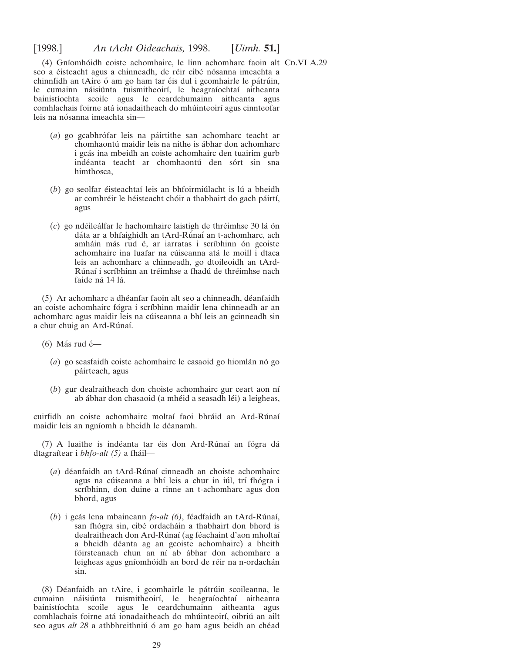(4) Gníomhóidh coiste achomhairc, le linn achomharc faoin alt CD.VI A.29 seo a éisteacht agus a chinneadh, de réir cibé nósanna imeachta a chinnfidh an tAire ó am go ham tar éis dul i gcomhairle le pátrúin, le cumainn náisiúnta tuismitheoirí, le heagraíochtaí aitheanta bainistíochta scoile agus le ceardchumainn aitheanta agus comhlachais foirne atá ionadaitheach do mhúinteoirí agus cinnteofar leis na nósanna imeachta sin-

- (*a*) go gcabhro´far leis na pa´irtithe san achomharc teacht ar chomhaontú maidir leis na nithe is ábhar don achomharc i gcás ina mbeidh an coiste achomhairc den tuairim gurb indéanta teacht ar chomhaontú den sórt sin sna himthosca,
- (*b*) go seolfar éisteachtaí leis an bhfoirmiúlacht is lú a bheidh ar comhréir le héisteacht chóir a thabhairt do gach páirtí, agus
- (*c*) go nde´ilea´lfar le hachomhairc laistigh de thre´imhse 30 la´ o´n dáta ar a bhfaighidh an tArd-Rúnaí an t-achomharc, ach amháin más rud é, ar iarratas i scríbhinn ón gcoiste achomhairc ina luafar na cúiseanna atá le moill i dtaca leis an achomharc a chinneadh, go dtoileoidh an tArd-Rúnaí i scríbhinn an tréimhse a fhadú de thréimhse nach faide ná 14 lá.

(5) Ar achomharc a dhe´anfar faoin alt seo a chinneadh, de´anfaidh an coiste achomhairc fógra i scríbhinn maidir lena chinneadh ar an achomharc agus maidir leis na cúiseanna a bhí leis an gcinneadh sin a chur chuig an Ard-Rúnaí.

- (6) Más rud é $-$ 
	- (*a*) go seasfaidh coiste achomhairc le casaoid go hiomlán nó go páirteach, agus
	- (*b*) gur dealraitheach don choiste achomhairc gur ceart aon nı´ ab ábhar don chasaoid (a mhéid a seasadh léi) a leigheas,

cuirfidh an coiste achomhairc moltaí faoi bhráid an Ard-Rúnaí maidir leis an ngníomh a bheidh le déanamh.

(7) A luaithe is indéanta tar éis don Ard-Rúnaí an fógra dá dtagraı´tear i *bhfo-alt (5)* a fha´il—

- (*a*) déanfaidh an tArd-Rúnaí cinneadh an choiste achomhairc agus na cúiseanna a bhí leis a chur in iúl, trí fhógra i scríbhinn, don duine a rinne an t-achomharc agus don bhord, agus
- (*b*) i gcás lena mbaineann *fo-alt* (*6*), féadfaidh an tArd-Rúnaí, san fhógra sin, cibé ordacháin a thabhairt don bhord is dealraitheach don Ard-Rúnaí (ag féachaint d'aon mholtaí a bheidh de´anta ag an gcoiste achomhairc) a bheith fóirsteanach chun an ní ab ábhar don achomharc a leigheas agus gníomhóidh an bord de réir na n-ordachán sin.

(8) Déanfaidh an tAire, i gcomhairle le pátrúin scoileanna, le cumainn náisiúnta tuismitheoirí, le heagraíochtaí aitheanta bainistíochta scoile agus le ceardchumainn aitheanta agus comhlachais foirne atá ionadaitheach do mhúinteoirí, oibriú an ailt seo agus *alt 28* a athbhreithniú ó am go ham agus beidh an chéad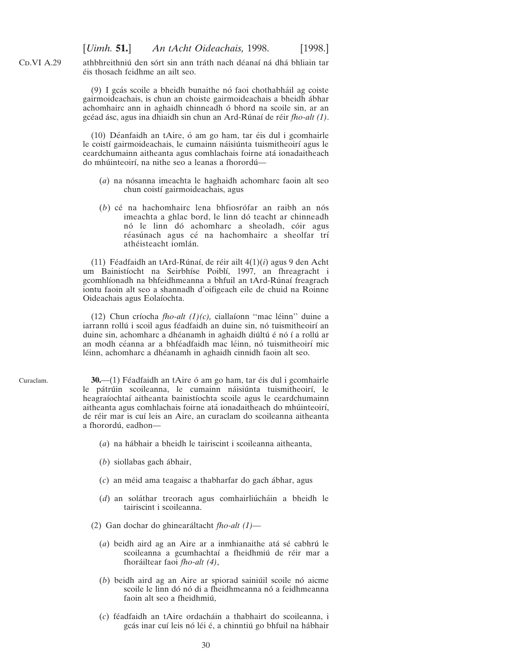<span id="page-29-0"></span> $CD.VI A.29$ 

Curaclam.

athbhreithniú den sórt sin ann tráth nach déanaí ná dhá bhliain tar e´is thosach feidhme an ailt seo.

(9) I gcás scoile a bheidh bunaithe nó faoi chothabháil ag coiste gairmoideachais, is chun an choiste gairmoideachais a bheidh ábhar achomhairc ann in aghaidh chinneadh ó bhord na scoile sin, ar an gce´ad a´sc, agus ina dhiaidh sin chun an Ard-Ru´naı´ de re´ir *fho-alt (1)*.

 $(10)$  Déanfaidh an tAire, ó am go ham, tar éis dul i gcomhairle le coistí gairmoideachais, le cumainn náisiúnta tuismitheoirí agus le ceardchumainn aitheanta agus comhlachais foirne ata´ ionadaitheach do mhúinteoirí, na nithe seo a leanas a fhorordú-

- (*a*) na nósanna imeachta le haghaidh achomharc faoin alt seo chun coistí gairmoideachais, agus
- (b) cé na hachomhairc lena bhfiosrófar an raibh an nós imeachta a ghlac bord, le linn dó teacht ar chinneadh nó le linn dó achomharc a sheoladh, cóir agus réasúnach agus cé na hachomhairc a sheolfar trí athéisteacht iomlán.

(11) Féadfaidh an tArd-Rúnaí, de réir ailt  $4(1)(i)$  agus 9 den Acht um Bainistíocht na Seirbhíse Poiblí, 1997, an fhreagracht i gcomhlíonadh na bhfeidhmeanna a bhfuil an tArd-Rúnaí freagrach iontu faoin alt seo a shannadh d'oifigeach eile de chuid na Roinne Oideachais agus Eolaíochta.

(12) Chun críocha *fho-alt (1)(c)*, ciallaíonn "mac léinn" duine a iarrann rollú i scoil agus féadfaidh an duine sin, nó tuismitheoirí an duine sin, achomharc a dhéanamh in aghaidh diúltú é nó í a rollú ar an modh céanna ar a bhféadfaidh mac léinn, nó tuismitheoirí mic léinn, achomharc a dhéanamh in aghaidh cinnidh faoin alt seo.

**30.**—(1) Féadfaidh an tAire ó am go ham, tar éis dul i gcomhairle le pátrúin scoileanna, le cumainn náisiúnta tuismitheoirí, le heagraíochtaí aitheanta bainistíochta scoile agus le ceardchumainn aitheanta agus comhlachais foirne atá ionadaitheach do mhúinteoirí, de réir mar is cuí leis an Aire, an curaclam do scoileanna aitheanta a fhorordú, eadhon-

- (*a*) na ha´bhair a bheidh le tairiscint i scoileanna aitheanta,
- (*b*) siollabas gach ábhair,
- (*c*) an me´id ama teagaisc a thabharfar do gach a´bhar, agus
- $(d)$  an soláthar treorach agus comhairliú cháin a bheidh le tairiscint i scoileanna.
- (2) Gan dochar do ghineara´ltacht *fho-alt (1)*
	- (*a*) beidh aird ag an Aire ar a inmhianaithe atá sé cabhrú le scoileanna a gcumhachtaí a fheidhmiú de réir mar a fhora´iltear faoi *fho-alt (4)*,
	- $(b)$  beidh aird ag an Aire ar spiorad sainiúil scoile nó aicme scoile le linn dó nó di a fheidhmeanna nó a feidhmeanna faoin alt seo a fheidhmiú,
	- (*c*) fe´adfaidh an tAire ordacha´in a thabhairt do scoileanna, i gcás inar cuí leis nó léi é, a chinntiú go bhfuil na hábhair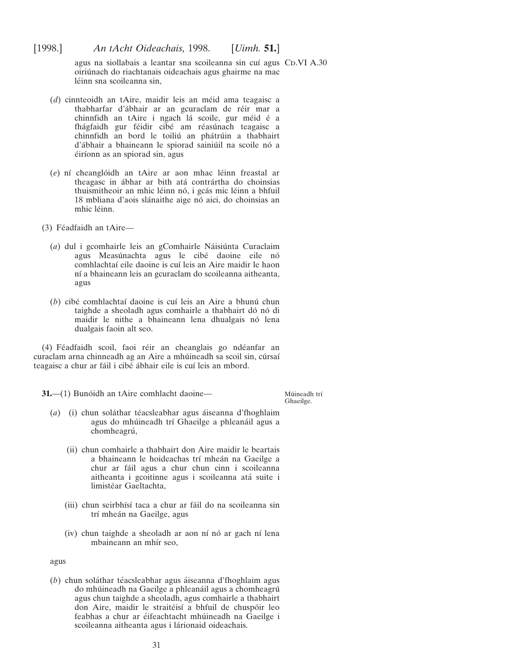<span id="page-30-0"></span>agus na siollabais a leantar sna scoileanna sin cuí agus CD.VI A.30 oiriu´nach do riachtanais oideachais agus ghairme na mac léinn sna scoileanna sin.

- (*d*) cinnteoidh an tAire, maidir leis an méid ama teagaisc a thabharfar d'ábhair ar an gcuraclam de réir mar a chinnfidh an tAire i ngach lá scoile, gur méid é a fhágfaidh gur féidir cibé am réasúnach teagaisc a chinnfidh an bord le toiliú an phátrúin a thabhairt d'ábhair a bhaineann le spiorad sainiúil na scoile nó a éiríonn as an spiorad sin, agus
- (*e*) ní cheanglóidh an tAire ar aon mhac léinn freastal ar theagasc in ábhar ar bith atá contrártha do choinsias thuismitheoir an mhic léinn nó, i gcás mic léinn a bhfuil 18 mbliana d'aois slánaithe aige nó aici, do choinsias an mhic léinn.
- $(3)$  Féadfaidh an tAire—
	- (*a*) dul i gcomhairle leis an gComhairle Náisiúnta Curaclaim agus Measúnachta agus le cibé daoine eile nó comhlachtaí eile daoine is cuí leis an Aire maidir le haon ní a bhaineann leis an gcuraclam do scoileanna aitheanta, agus
	- (*b*) cibé comhlachtaí daoine is cuí leis an Aire a bhunú chun taighde a sheoladh agus comhairle a thabhairt dó nó di maidir le nithe a bhaineann lena dhualgais nó lena dualgais faoin alt seo.

(4) Féadfaidh scoil, faoi réir an cheanglais go ndéanfar an curaclam arna chinneadh ag an Aire a mhúineadh sa scoil sin, cúrsaí teagaisc a chur ar fáil i cibé ábhair eile is cuí leis an mbord.

**31.**—(1) Bunóidh an tAire comhlacht daoine—

Múineadh trí Ghaeilge.

- (*a*) (i) chun soláthar téacsleabhar agus áiseanna d'fhoghlaim agus do mhúineadh trí Ghaeilge a phleanáil agus a chomheagrú,
	- (ii) chun comhairle a thabhairt don Aire maidir le beartais a bhaineann le hoideachas trí mheán na Gaeilge a chur ar fáil agus a chur chun cinn i scoileanna aitheanta i gcoitinne agus i scoileanna atá suite i limistéar Gaeltachta,
	- (iii) chun seirbhı´sı´ taca a chur ar fa´il do na scoileanna sin trí mheán na Gaeilge, agus
	- (iv) chun taighde a sheoladh ar aon ní nó ar gach ní lena mbaineann an mhír seo.

agus

(b) chun soláthar téacsleabhar agus áiseanna d'fhoghlaim agus do mhúineadh na Gaeilge a phleanáil agus a chomheagrú agus chun taighde a sheoladh, agus comhairle a thabhairt don Aire, maidir le straitéisí a bhfuil de chuspóir leo feabhas a chur ar éifeachtacht mhúineadh na Gaeilge i scoileanna aitheanta agus i lárionaid oideachais.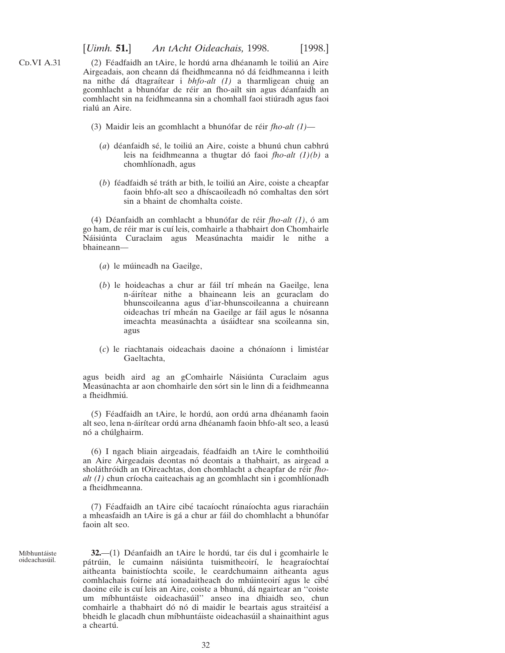(2) Féadfaidh an tAire, le hordú arna dhéanamh le toiliú an Aire Airgeadais, aon cheann dá fheidhmeanna nó dá feidhmeanna i leith na nithe da´ dtagraı´tear i *bhfo-alt (1)* a tharmligean chuig an gcomhlacht a bhunófar de réir an fho-ailt sin agus déanfaidh an comhlacht sin na feidhmeanna sin a chomhall faoi stiúradh agus faoi rialú an Aire.

- (3) Maidir leis an gcomhlacht a bhunófar de réir *fho-alt* (1)—
	- (*a*) déanfaidh sé, le toiliú an Aire, coiste a bhunú chun cabhrú leis na feidhmeanna a thugtar do´ faoi *fho-alt (1)(b)* a chomhlíonadh, agus
	- $(b)$  féadfaidh sé tráth ar bith, le toiliú an Aire, coiste a cheapfar faoin bhfo-alt seo a dhíscaoileadh nó comhaltas den sórt sin a bhaint de chomhalta coiste.

(4) Déanfaidh an comhlacht a bhunófar de réir *fho-alt (1)*, ó am go ham, de re´ir mar is cuı´ leis, comhairle a thabhairt don Chomhairle Náisiúnta Curaclaim agus Measúnachta maidir le nithe a bhaineann—

- (*a*) le múineadh na Gaeilge,
- (*b*) le hoideachas a chur ar fáil trí mheán na Gaeilge, lena n-áirítear nithe a bhaineann leis an gcuraclam do bhunscoileanna agus d'iar-bhunscoileanna a chuireann oideachas trí mheán na Gaeilge ar fáil agus le nósanna imeachta measúnachta a úsáidtear sna scoileanna sin, agus
- $(c)$  le riachtanais oideachais daoine a chónaíonn i limistéar Gaeltachta,

agus beidh aird ag an gComhairle Náisiúnta Curaclaim agus Measúnachta ar aon chomhairle den sórt sin le linn di a feidhmeanna a fheidhmiú.

(5) Féadfaidh an tAire, le hordú, aon ordú arna dhéanamh faoin alt seo, lena n-áirítear ordú arna dhéanamh faoin bhfo-alt seo, a leasú nó a chúlghairm.

 $(6)$  I ngach bliain airgeadais, féadfaidh an tAire le comhthoiliú an Aire Airgeadais deontas no´ deontais a thabhairt, as airgead a sholáthróidh an tOireachtas, don chomhlacht a cheapfar de réir *fhoalt (1)* chun críocha caiteachais ag an gcomhlacht sin i gcomhlíonadh a fheidhmeanna.

(7) Féadfaidh an tAire cibé tacaíocht rúnaíochta agus riaracháin a mheasfaidh an tAire is gá a chur ar fáil do chomhlacht a bhunófar faoin alt seo.

Míbhuntáiste oideachasúil.

**32.**—(1) Déanfaidh an tAire le hordú, tar éis dul i gcomhairle le pátrúin, le cumainn náisiúnta tuismitheoirí, le heagraíochtaí aitheanta bainistíochta scoile, le ceardchumainn aitheanta agus comhlachais foirne atá ionadaitheach do mhúinteoirí agus le cibé daoine eile is cuí leis an Aire, coiste a bhunú, dá ngairtear an "coiste um míbhuntáiste oideachasúil" anseo ina dhiaidh seo, chun comhairle a thabhairt dó nó di maidir le beartais agus straitéisí a bheidh le glacadh chun míbhuntáiste oideachasúil a shainaithint agus a cheartú.

<span id="page-31-0"></span> $CD.VI A.31$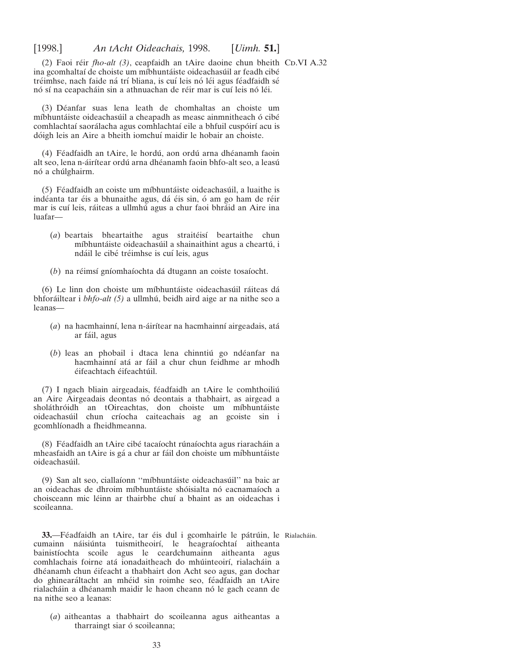<span id="page-32-0"></span>(2) Faoi réir *fho-alt (3)*, ceapfaidh an tAire daoine chun bheith CD.VI A.32 ina gcomhaltaí de choiste um míbhuntáiste oideachasúil ar feadh cibé tréimhse, nach faide ná trí bliana, is cuí leis nó léi agus féadfaidh sé nó sí na ceapacháin sin a athnuachan de réir mar is cuí leis nó léi.

(3) De´anfar suas lena leath de chomhaltas an choiste um míbhuntáiste oideachasúil a cheapadh as measc ainmnitheach ó cibé comhlachtaí saorálacha agus comhlachtaí eile a bhfuil cuspóirí acu is dóigh leis an Aire a bheith iomchuí maidir le hobair an choiste.

(4) Féadfaidh an tAire, le hordú, aon ordú arna dhéanamh faoin alt seo, lena n-áirítear ordú arna dhéanamh faoin bhfo-alt seo, a leasú nó a chúlghairm.

(5) Féadfaidh an coiste um míbhuntáiste oideachasúil, a luaithe is indéanta tar éis a bhunaithe agus, dá éis sin, ó am go ham de réir mar is cuí leis, ráiteas a ullmhú agus a chur faoi bhráid an Aire ina luafar—

- (a) beartais bheartaithe agus straitéisí beartaithe chun míbhuntáiste oideachasúil a shainaithint agus a cheartú, i ndáil le cibé tréimhse is cuí leis, agus
- (*b*) na réimsí gníomhaíochta dá dtugann an coiste tosaíocht.

(6) Le linn don choiste um míbhuntáiste oideachasúil ráiteas dá bhforáiltear i *bhfo-alt (5)* a ullmhú, beidh aird aige ar na nithe seo a leanas—

- (*a*) na hacmhainní, lena n-áirítear na hacmhainní airgeadais, atá ar fáil, agus
- (*b*) leas an phobail i dtaca lena chinntiú go ndéanfar na hacmhainní atá ar fáil a chur chun feidhme ar mhodh éifeachtach éifeachtúil.

(7) I ngach bliain airgeadais, féadfaidh an tAire le comhthoiliú an Aire Airgeadais deontas nó deontais a thabhairt, as airgead a sholáthróidh an tOireachtas, don choiste um míbhuntáiste oideachasúil chun críocha caiteachais ag an gcoiste sin i gcomhlíonadh a fheidhmeanna.

(8) Féadfaidh an tAire cibé tacaíocht rúnaíochta agus riaracháin a mheasfaidh an tAire is gá a chur ar fáil don choiste um míbhuntáiste oideachasúil.

(9) San alt seo, ciallaíonn "míbhuntáiste oideachasúil" na baic ar an oideachas de dhroim míbhuntáiste shóisialta nó eacnamaíoch a choisceann mic léinn ar thairbhe chuí a bhaint as an oideachas i scoileanna.

**33.—Féadfaidh an tAire, tar éis dul i gcomhairle le pátrúin, le Rialacháin.** cumainn náisiúnta tuismitheoirí, le heagraíochtaí aitheanta bainistíochta scoile agus le ceardchumainn aitheanta agus comhlachais foirne atá ionadaitheach do mhúinteoirí, rialacháin a dhéanamh chun éifeacht a thabhairt don Acht seo agus, gan dochar do ghinearáltacht an mhéid sin roimhe seo, féadfaidh an tAire rialacháin a dhéanamh maidir le haon cheann nó le gach ceann de na nithe seo a leanas:

(*a*) aitheantas a thabhairt do scoileanna agus aitheantas a tharraingt siar ó scoileanna;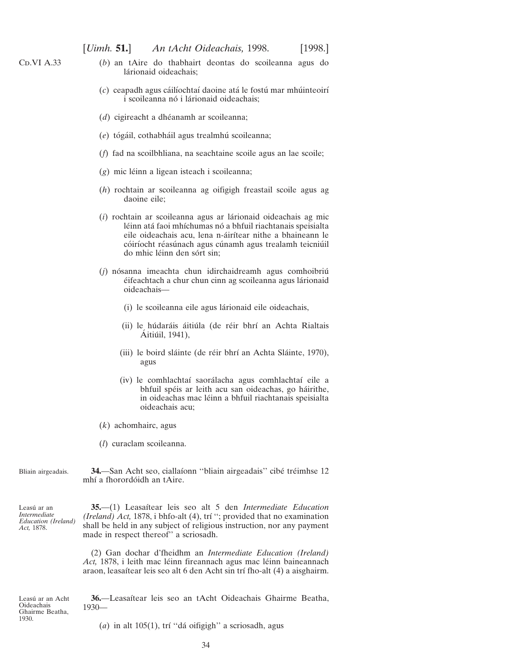- (*b*) an tAire do thabhairt deontas do scoileanna agus do lárionaid oideachais;
- (c) ceapadh agus cáilíochtaí daoine atá le fostú mar mhúinteoirí i scoileanna nó i lárionaid oideachais;
- (*d*) cigireacht a dhéanamh ar scoileanna;
- (e) tógáil, cothabháil agus trealmhú scoileanna;
- (*f*) fad na scoilbhliana, na seachtaine scoile agus an lae scoile;
- (g) mic léinn a ligean isteach i scoileanna;
- (*h*) rochtain ar scoileanna ag oifigigh freastail scoile agus ag daoine eile;
- (*i*) rochtain ar scoileanna agus ar la´rionaid oideachais ag mic léinn atá faoi mhíchumas nó a bhfuil riachtanais speisialta eile oideachais acu, lena n-áirítear nithe a bhaineann le cóiríocht réasúnach agus cúnamh agus trealamh teicniúil do mhic léinn den sórt sin;
- (*j*) nósanna imeachta chun idirchaidreamh agus comhoibriú éifeachtach a chur chun cinn ag scoileanna agus lárionaid oideachais—
	- (i) le scoileanna eile agus lárionaid eile oideachais,
	- (ii) le húdaráis áitiúla (de réir bhrí an Achta Rialtais Aitiúil, 1941),
	- (iii) le boird sláinte (de réir bhrí an Achta Sláinte, 1970), agus
	- (iv) le comhlachtaí saorálacha agus comhlachtaí eile a bhfuil spéis ar leith acu san oideachas, go háirithe, in oideachas mac léinn a bhfuil riachtanais speisialta oideachais acu;
- (*k*) achomhairc, agus
- (*l*) curaclam scoileanna.

Bliain airgeadais. 34.—San Acht seo, ciallaíonn "bliain airgeadais" cibé tréimhse 12 mhí a fhorordóidh an tAire.

Leasú ar an *Intermediate Education (Ireland) Act,* 1878.

**35.**—(1) Leasaı´tear leis seo alt 5 den *Intermediate Education (Ireland) Act,* 1878, i bhfo-alt (4), trı´ ''; provided that no examination shall be held in any subject of religious instruction, nor any payment made in respect thereof'' a scriosadh.

(2) Gan dochar d'fheidhm an *Intermediate Education (Ireland)* Act, 1878, i leith mac léinn fireannach agus mac léinn baineannach araon, leasaítear leis seo alt 6 den Acht sin trí fho-alt (4) a aisghairm.

Leasú ar an Acht Oideachais Ghairme Beatha, 1930.

**36.**—Leasaı´tear leis seo an tAcht Oideachais Ghairme Beatha, 1930—

(*a*) in alt 105(1), trí "dá oifigigh" a scriosadh, agus

<span id="page-33-0"></span> $CD.VI A.33$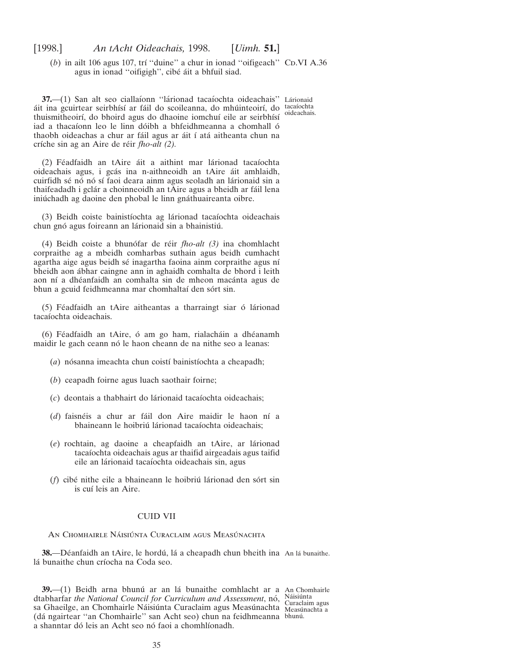<span id="page-34-0"></span> $(b)$  in ailt 106 agus 107, trí "duine" a chur in ionad "oifigeach" CD.VI A.36 agus in ionad "oifigigh", cibé áit a bhfuil siad.

**37.**—(1) San alt seo ciallaíonn "lárionad tacaíochta oideachais" Lárionaid áit ina gcuirtear seirbhísí ar fáil do scoileanna, do mhúinteoirí, do tacaíochta thuismitheoirí, do bhoird agus do dhaoine iomchuí eile ar seirbhísí iad a thacaíonn leo le linn dóibh a bhfeidhmeanna a chomhall ó thaobh oideachas a chur ar fáil agus ar áit í atá aitheanta chun na críche sin ag an Aire de réir *fho-alt (2)*. oideachais.

(2) Féadfaidh an tAire áit a aithint mar lárionad tacaíochta oideachais agus, i gcás ina n-aithneoidh an tAire áit amhlaidh, cuirfidh sé nó nó sí faoi deara ainm agus seoladh an lárionaid sin a thaifeadadh i gclár a choinneoidh an tAire agus a bheidh ar fáil lena iniú chadh ag daoine den phobal le linn gnáthuaireanta oibre.

(3) Beidh coiste bainistíochta ag lárionad tacaíochta oideachais chun gnó agus foireann an lárionaid sin a bhainistiú.

(4) Beidh coiste a bhuno´far de re´ir *fho-alt (3)* ina chomhlacht corpraithe ag a mbeidh comharbas suthain agus beidh cumhacht agartha aige agus beidh sé inagartha faoina ainm corpraithe agus ní bheidh aon a´bhar caingne ann in aghaidh comhalta de bhord i leith aon ní a dhéanfaidh an comhalta sin de mheon macánta agus de bhun a gcuid feidhmeanna mar chomhaltaí den sórt sin.

 $(5)$  Féadfaidh an tAire aitheantas a tharraingt siar ó lárionad tacaíochta oideachais.

(6) Féadfaidh an tAire, ó am go ham, rialacháin a dhéanamh maidir le gach ceann nó le haon cheann de na nithe seo a leanas:

- (*a*) nósanna imeachta chun coistí bainistíochta a cheapadh;
- (*b*) ceapadh foirne agus luach saothair foirne;
- (*c*) deontais a thabhairt do la´rionaid tacaı´ochta oideachais;
- (d) faisnéis a chur ar fáil don Aire maidir le haon ní a bhaineann le hoibriú lárionad tacaíochta oideachais;
- (e) rochtain, ag daoine a cheapfaidh an tAire, ar lárionad tacaı´ochta oideachais agus ar thaifid airgeadais agus taifid eile an lárionaid tacaíochta oideachais sin, agus
- (*f*) cibé nithe eile a bhaineann le hoibriú lárionad den sórt sin is cuí leis an Aire.

# CUID VII

#### AN CHOMHAIRLE NÁISIÚNTA CURACLAIM AGUS MEASÚNACHTA

**38.—D**éanfaidh an tAire, le hordú, lá a cheapadh chun bheith ina An lá bunaithe. lá bunaithe chun críocha na Coda seo.

**39.—(1)** Beidh arna bhunú ar an lá bunaithe comhlacht ar a An Chomhairle dtabharfar *the National Council for Curriculum and Assessment*, nó, Náisiúnta sa Ghaeilge, an Chomhairle Náisiúnta Curaclaim agus Measúnachta Measúnachta a (dá ngairtear "an Chomhairle" san Acht seo) chun na feidhmeanna bhunú. a shanntar dó leis an Acht seo nó faoi a chomhlíonadh.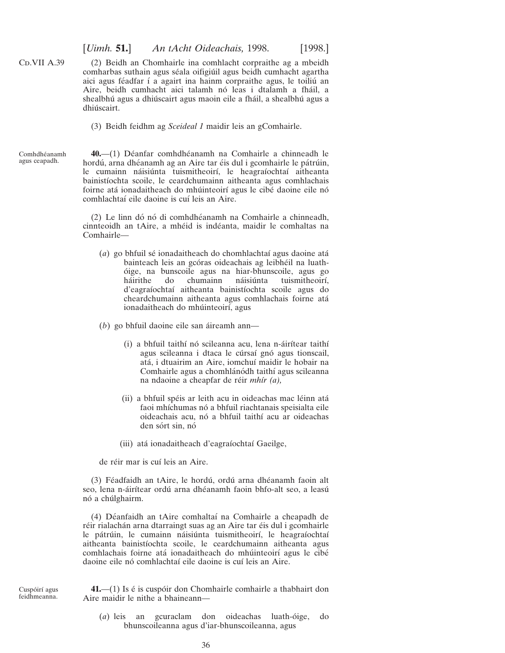[*Uimh.* **51.**] *An tAcht Oideachais,* 1998. [1998.]

<span id="page-35-0"></span>C<sub>D</sub>.VII A.39 (2) Beidh an Chomhairle ina comhlacht corpraithe ag a mbeidh comharbas suthain agus séala oifigiúil agus beidh cumhacht agartha aici agus féadfar í a agairt ina hainm corpraithe agus, le toiliú an Aire, beidh cumhacht aici talamh nó leas i dtalamh a fháil, a shealbhú agus a dhiúscairt agus maoin eile a fháil, a shealbhú agus a dhiúscairt.

(3) Beidh feidhm ag *Sceideal 1* maidir leis an gComhairle.

Comhdhéanamh agus ceapadh.

40.—(1) Déanfar comhdhéanamh na Comhairle a chinneadh le hordú, arna dhéanamh ag an Aire tar éis dul i gcomhairle le pátrúin, le cumainn náisiúnta tuismitheoirí, le heagraíochtaí aitheanta bainistíochta scoile, le ceardchumainn aitheanta agus comhlachais foirne atá ionadaitheach do mhúinteoirí agus le cibé daoine eile nó comhlachtaí eile daoine is cuí leis an Aire.

(2) Le linn dó nó di comhdhéanamh na Comhairle a chinneadh, cinnteoidh an tAire, a mhéid is indéanta, maidir le comhaltas na Comhairle—

(*a*) go bhfuil sé ionadaitheach do chomhlachtaí agus daoine atá bainteach leis an gcóras oideachais ag leibhéil na luatho´ ige, na bunscoile agus na hiar-bhunscoile, agus go háirithe do chumainn náisiúnta tuismitheoirí, d'eagraíochtaí aitheanta bainistíochta scoile agus do cheardchumainn aitheanta agus comhlachais foirne ata´ ionadaitheach do mhúinteoirí, agus

(*b*) go bhfuil daoine eile san áireamh ann—

- (i) a bhfuil taithí nó scileanna acu, lena n-áirítear taithí agus scileanna i dtaca le cúrsaí gnó agus tionscail, atá, i dtuairim an Aire, iomchuí maidir le hobair na Comhairle agus a chomhlánódh taithí agus scileanna na ndaoine a cheapfar de réir *mhír (a)*,
- (ii) a bhfuil spéis ar leith acu in oideachas mac léinn atá faoi mhíchumas nó a bhfuil riachtanais speisialta eile oideachais acu, nó a bhfuil taithí acu ar oideachas den sórt sin, nó
- (iii) atá ionadaitheach d'eagraíochtaí Gaeilge,

de réir mar is cuí leis an Aire.

(3) Féadfaidh an tAire, le hordú, ordú arna dhéanamh faoin alt seo, lena n-áirítear ordú arna dhéanamh faoin bhfo-alt seo, a leasú nó a chúlghairm.

(4) Déanfaidh an tAire comhaltaí na Comhairle a cheapadh de réir rialachán arna dtarraingt suas ag an Aire tar éis dul i gcomhairle le pátrúin, le cumainn náisiúnta tuismitheoirí, le heagraíochtaí aitheanta bainistíochta scoile, le ceardchumainn aitheanta agus comhlachais foirne atá ionadaitheach do mhúinteoirí agus le cibé daoine eile nó comhlachtaí eile daoine is cuí leis an Aire.

**41.**—(1) Is é is cuspóir don Chomhairle comhairle a thabhairt don Aire maidir le nithe a bhaineann—

(*a*) leis an gcuraclam don oideachas luath-o´ige, do bhunscoileanna agus d'iar-bhunscoileanna, agus

Cuspóirí agus feidhmeanna.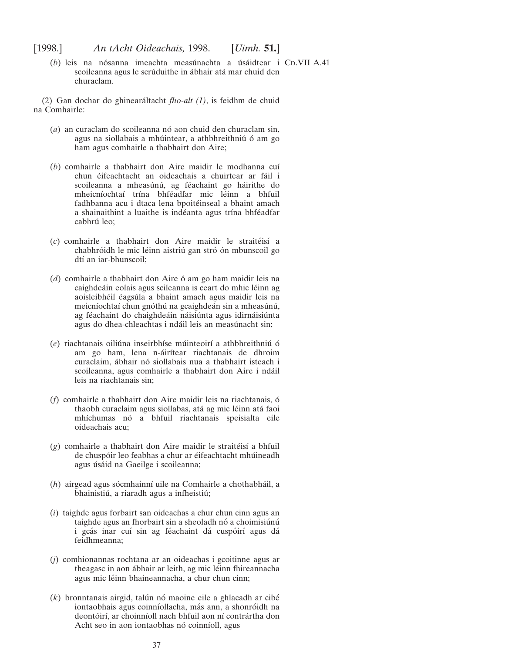(b) leis na nósanna imeachta measúnachta a úsáidtear i Co.VII A.41 scoileanna agus le scrúduithe in ábhair atá mar chuid den churaclam.

(2) Gan dochar do ghineara´ltacht *fho-alt (1)*, is feidhm de chuid na Comhairle:

- (*a*) an curaclam do scoileanna nó aon chuid den churaclam sin, agus na siollabais a mhúintear, a athbhreithniú ó am go ham agus comhairle a thabhairt don Aire;
- (b) comhairle a thabhairt don Aire maidir le modhanna cuí chun éifeachtacht an oideachais a chuirtear ar fáil i scoileanna a mheasúnú, ag féachaint go háirithe do mheicníochtaí trína bhféadfar mic léinn a bhfuil fadhbanna acu i dtaca lena bpoitéinseal a bhaint amach a shainaithint a luaithe is indéanta agus trína bhféadfar cabhrú leo:
- (*c*) comhairle a thabhairt don Aire maidir le straite´isı´ a chabhróidh le mic léinn aistriú gan stró ón mbunscoil go dtí an iar-bhunscoil;
- (*d*) comhairle a thabhairt don Aire ó am go ham maidir leis na caighdeáin eolais agus scileanna is ceart do mhic léinn ag aoisleibhéil éagsúla a bhaint amach agus maidir leis na meicníochtaí chun gnóthú na gcaighdeán sin a mheasúnú, ag féachaint do chaighdeáin náisiúnta agus idirnáisiúnta agus do dhea-chleachtas i ndáil leis an measúnacht sin;
- (e) riachtanais oiliúna inseirbhíse múinteoirí a athbhreithniú ó am go ham, lena n-áirítear riachtanais de dhroim curaclaim, ábhair nó siollabais nua a thabhairt isteach i scoileanna, agus comhairle a thabhairt don Aire i ndáil leis na riachtanais sin;
- (*f*) comhairle a thabhairt don Aire maidir leis na riachtanais, ó thaobh curaclaim agus siollabas, atá ag mic léinn atá faoi mhíchumas nó a bhfuil riachtanais speisialta eile oideachais acu;
- $(g)$  comhairle a thabhairt don Aire maidir le straitéisí a bhfuil de chuspóir leo feabhas a chur ar éifeachtacht mhúineadh agus úsáid na Gaeilge i scoileanna;
- (*h*) airgead agus sócmhainní uile na Comhairle a chothabháil, a bhainistiú, a riaradh agus a infheistiú;
- (*i*) taighde agus forbairt san oideachas a chur chun cinn agus an taighde agus an fhorbairt sin a sheoladh nó a choimisiúnú i gcás inar cuí sin ag féachaint dá cuspóirí agus dá feidhmeanna;
- (*j*) comhionannas rochtana ar an oideachas i gcoitinne agus ar theagasc in aon ábhair ar leith, ag mic léinn fhireannacha agus mic léinn bhaineannacha, a chur chun cinn;
- $(k)$  bronntanais airgid, talún nó maoine eile a ghlacadh ar cibé iontaobhais agus coinníollacha, más ann, a shonróidh na deontóirí, ar choinníoll nach bhfuil aon ní contrártha don Acht seo in aon iontaobhas nó coinníoll, agus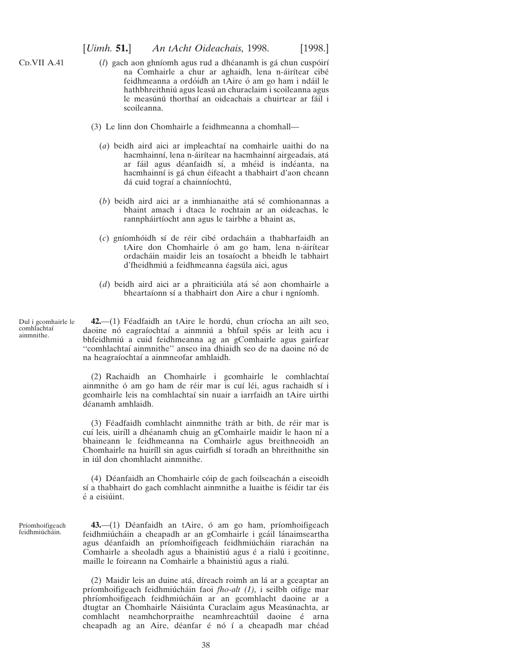- (*l*) gach aon ghníomh agus rud a dhéanamh is gá chun cuspóirí na Comhairle a chur ar aghaidh, lena n-áirítear cibé feidhmeanna a ordóidh an tAire ó am go ham i ndáil le hathbhreithniú agus leasú an churaclaim i scoileanna agus le measúnú thorthaí an oideachais a chuirtear ar fáil i scoileanna.
- (3) Le linn don Chomhairle a feidhmeanna a chomhall—
	- (*a*) beidh aird aici ar impleachtaı´ na comhairle uaithi do na hacmhainní, lena n-áirítear na hacmhainní airgeadais, atá ar fáil agus déanfaidh sí, a mhéid is indéanta, na hacmhainní is gá chun éifeacht a thabhairt d'aon cheann dá cuid tograí a chainníochtú,
	- (*b*) beidh aird aici ar a inmhianaithe atá sé comhionannas a bhaint amach i dtaca le rochtain ar an oideachas, le rannpháirtíocht ann agus le tairbhe a bhaint as,
	- (*c*) gnı´omho´idh sı´ de re´ir cibe´ ordacha´in a thabharfaidh an tAire don Chomhairle ó am go ham, lena n-áirítear ordacha´in maidir leis an tosaı´ocht a bheidh le tabhairt d'fheidhmiú a feidhmeanna éagsúla aici, agus
	- (*d*) beidh aird aici ar a phraiticiúla atá sé aon chomhairle a bheartaíonn sí a thabhairt don Aire a chur i ngníomh.

Dul i gcomhairle le comhlachtaı´ ainmnithe.

<span id="page-37-0"></span>C<sub>D</sub>.VII A.41

42.—(1) Féadfaidh an tAire le hordú, chun críocha an ailt seo, daoine nó eagraíochtaí a ainmniú a bhfuil spéis ar leith acu i bhfeidhmiú a cuid feidhmeanna ag an gComhairle agus gairfear "comhlachtaí ainmnithe" anseo ina dhiaidh seo de na daoine nó de na heagraı´ochtaı´ a ainmneofar amhlaidh.

(2) Rachaidh an Chomhairle i gcomhairle le comhlachtaı´ ainmnithe ó am go ham de réir mar is cuí léi, agus rachaidh sí i gcomhairle leis na comhlachtaı´ sin nuair a iarrfaidh an tAire uirthi déanamh amhlaidh.

(3) Féadfaidh comhlacht ainmnithe tráth ar bith, de réir mar is cuí leis, uiríll a dhéanamh chuig an gComhairle maidir le haon ní a bhaineann le feidhmeanna na Comhairle agus breithneoidh an Chomhairle na huiríll sin agus cuirfidh sí toradh an bhreithnithe sin in iúl don chomhlacht ainmnithe.

(4) Déanfaidh an Chomhairle cóip de gach foilseachán a eiseoidh sí a thabhairt do gach comhlacht ainmnithe a luaithe is féidir tar éis  $é a$  eisiúint.

Príomhoifigeach feidhmiúcháin.

43.—(1) Déanfaidh an tAire, ó am go ham, príomhoifigeach feidhmiúcháin a cheapadh ar an gComhairle i gcáil lánaimseartha agus déanfaidh an príomhoifigeach feidhmiúcháin riarachán na Comhairle a sheoladh agus a bhainistiú agus é a rialú i gcoitinne, maille le foireann na Comhairle a bhainistiú agus a rialú.

(2) Maidir leis an duine atá, díreach roimh an lá ar a gceaptar an príomhoifigeach feidhmiú cháin faoi *fho-alt (1)*, i seilbh oifige mar phríomhoifigeach feidhmiúcháin ar an gcomhlacht daoine ar a dtugtar an Chomhairle Náisiúnta Curaclaim agus Measúnachta, ar comhlacht neamhchorpraithe neamhreachtúil daoine é arna cheapadh ag an Aire, déanfar é nó í a cheapadh mar chéad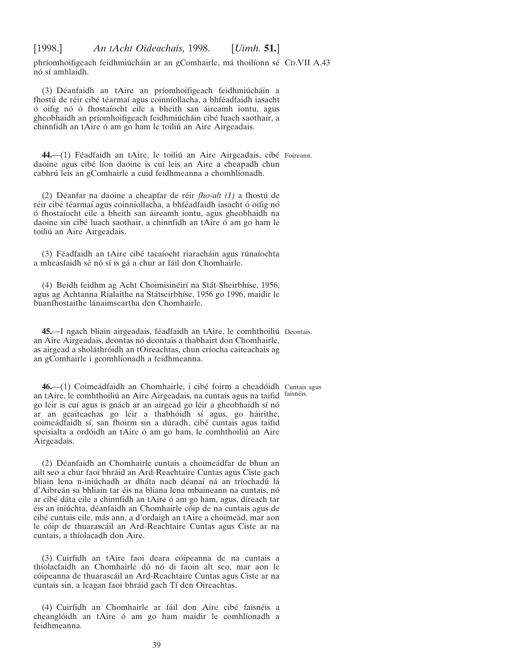<span id="page-38-0"></span>phríomhoifigeach feidhmiúcháin ar an gComhairle, má thoilíonn sé CD.VII A.43 nó sí amhlaidh.

(3) Déanfaidh an tAire an príomhoifigeach feidhmiúcháin a fhostú de réir cibé téarmaí agus coinníollacha, a bhféadfaidh iasacht ó oifig nó ó fhostaíocht eile a bheith san áireamh iontu, agus gheobhaidh an príomhoifigeach feidhmiúcháin cibé luach saothair, a chinnfidh an tAire ó am go ham le toiliú an Aire Airgeadais.

44.—(1) Féadfaidh an tAire, le toiliú an Aire Airgeadais, cibé Foireann. daoine agus cibé líon daoine is cuí leis an Aire a cheapadh chun cabhrú leis an gComhairle a cuid feidhmeanna a chomhlíonadh.

(2) De´anfar na daoine a cheapfar de re´ir *fho-alt (1)* a fhostu´ de réir cibé téarmaí agus coinníollacha, a bhféadfaidh iasacht ó oifig nó ó fhostaíocht eile a bheith san áireamh iontu, agus gheobhaidh na daoine sin cibé luach saothair, a chinnfidh an tAire ó am go ham le toiliú an Aire Airgeadais.

(3) Féadfaidh an tAire cibé tacaíocht riaracháin agus rúnaíochta a mheasfaidh sé nó sí is gá a chur ar fáil don Chomhairle.

(4) Beidh feidhm ag Acht Choimisinéirí na Stát-Sheirbhíse, 1956, agus ag Achtanna Rialaithe na Státseirbhíse, 1956 go 1996, maidir le buanfhostaithe lánaimseartha den Chomhairle.

45.—I ngach bliain airgeadais, féadfaidh an tAire, le comhthoiliú Deontais. an Aire Airgeadais, deontas nó deontais a thabhairt don Chomhairle, as airgead a sholáthróidh an tOireachtas, chun críocha caiteachais ag an gComhairle i gcomhlíonadh a feidhmeanna.

**46.**—(1) Coimeádfaidh an Chomhairle, i cibé foirm a cheadóidh Cuntais agus an tAire, le comhthoiliú an Aire Airgeadais, na cuntais agus na taifid faisnéis. go léir is cuí agus is gnách ar an airgead go léir a gheobhaidh sí nó ar an gcaiteachas go léir a thabhóidh sí agus, go háirithe, coimeádfaidh sí, san fhoirm sin a dúradh, cibé cuntais agus taifid speisialta a ordóidh an tAire ó am go ham, le comhthoiliú an Aire Airgeadais.

(2) Déanfaidh an Chomhairle cuntais a choimeádfar de bhun an ailt seo a chur faoi bhráid an Ard-Reachtaire Cuntas agus Ciste gach bliain lena n-iniú chadh ar dháta nach déanaí ná an tríochadú lá d'Aibreán sa bhliain tar éis na bliana lena mbaineann na cuntais, nó ar cibé dáta eile a chinnfidh an tAire ó am go ham, agus, díreach tar éis an iniú chta, déanfaidh an Chomhairle cóip de na cuntais agus de cibé cuntais eile, más ann, a d'ordaigh an tAire a choimeád, mar aon le cóip de thuarascáil an Ard-Reachtaire Cuntas agus Ciste ar na cuntais, a thíolacadh don Aire.

(3) Cuirfidh an tAire faoi deara cóipeanna de na cuntais a thíolacfaidh an Chomhairle dó nó di faoin alt seo, mar aon le cóipeanna de thuarascáil an Ard-Reachtaire Cuntas agus Ciste ar na cuntais sin, a leagan faoi bhráid gach Tí den Oireachtas.

(4) Cuirfidh an Chomhairle ar fáil don Aire cibé faisnéis a cheanglóidh an tAire ó am go ham maidir le comhlíonadh a feidhmeanna.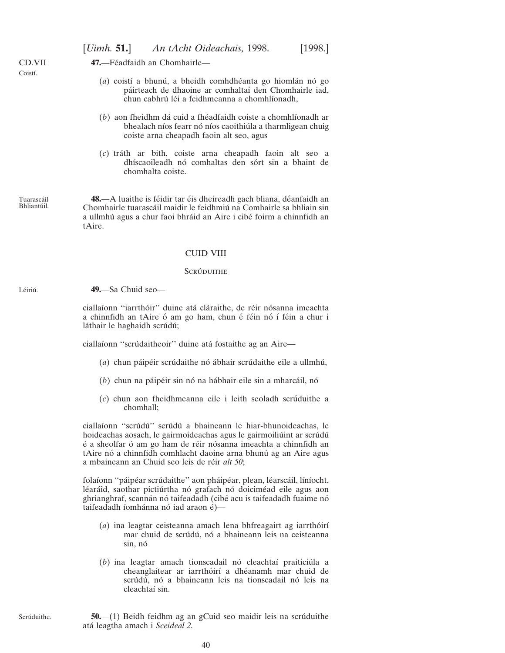| (a) coistí a bhunú, a bheidh comhdhéanta go hiomlán nó go<br>páirteach de dhaoine ar comhaltaí den Chomhairle iad,<br>chun cabhrú léi a feidhmeanna a chomhlíonadh,     |
|-------------------------------------------------------------------------------------------------------------------------------------------------------------------------|
| (b) aon fheidhm dá cuid a fhéadfaidh coiste a chomhlíonadh ar<br>bhealach níos fearr nó níos caoithiúla a tharmligean chuig<br>coiste arna cheapadh faoin alt seo, agus |
| (c) tráth ar bith, coiste arna cheapadh faoin alt seo a<br>dhíscaoileadh nó comhaltas den sórt sin a bhaint de<br>chomhalta coiste.                                     |

#### CUID VIII

#### **SCRÚDUITHE**

**49.**—Sa Chuid seo—

ciallaíonn "iarrthóir" duine atá cláraithe, de réir nósanna imeachta a chinnfidh an tAire ó am go ham, chun é féin nó í féin a chur i láthair le haghaidh scrúdú;

ciallaíonn "scrúdaitheoir" duine atá fostaithe ag an Aire—

- (a) chun páipéir scrúdaithe nó ábhair scrúdaithe eile a ullmhú,
- (b) chun na páipéir sin nó na hábhair eile sin a mharcáil, nó
- (*c*) chun aon fheidhmeanna eile i leith seoladh scru´duithe a chomhall;

ciallaíonn "scrúdú" scrúdú a bhaineann le hiar-bhunoideachas, le hoideachas aosach, le gairmoideachas agus le gairmoiliúint ar scrúdú é a sheolfar ó am go ham de réir nósanna imeachta a chinnfidh an tAire nó a chinnfidh comhlacht daoine arna bhunú ag an Aire agus a mbaineann an Chuid seo leis de réir alt 50;

folaíonn "páipéar scrúdaithe" aon pháipéar, plean, léarscáil, líníocht, léaráid, saothar pictiúrtha nó grafach nó doiciméad eile agus aon ghrianghraf, scannán nó taifeadadh (cibé acu is taifeadadh fuaime nó taifeadadh íomhánna nó iad araon é)—

- (*a*) ina leagtar ceisteanna amach lena bhfreagairt ag iarrthóirí mar chuid de scrúdú, nó a bhaineann leis na ceisteanna sin, nó
- (b) ina leagtar amach tionscadail nó cleachtaí praiticiúla a cheanglaítear ar iarrthóirí a dhéanamh mar chuid de scrúdú, nó a bhaineann leis na tionscadail nó leis na cleachtaí sin.

Scrúduithe.

<span id="page-39-0"></span>CD.VII Coistí.

Tuarascáil Bhliantúil.

Léiriú.

**50.**—(1) Beidh feidhm ag an gCuid seo maidir leis na scrúduithe ata´ leagtha amach i *Sceideal 2.*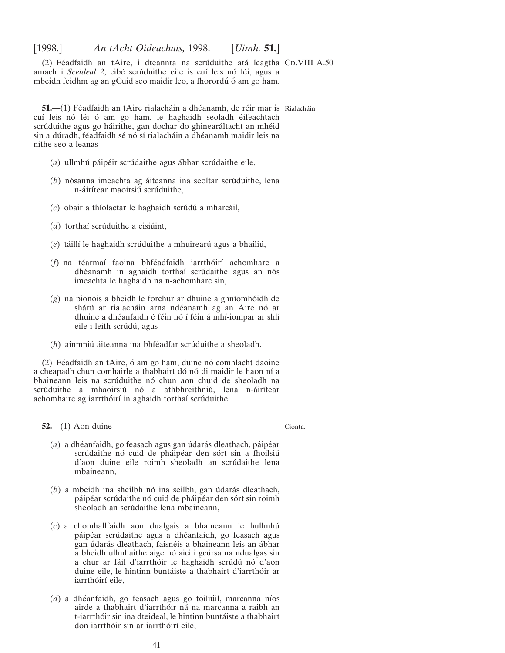<span id="page-40-0"></span> $(2)$  Féadfaidh an tAire, i dteannta na scrúduithe atá leagtha CD.VIII A.50 amach i *Sceideal 2*, cibé scrúduithe eile is cuí leis nó léi, agus a mbeidh feidhm ag an gCuid seo maidir leo, a fhorordú ó am go ham.

**51.**—(1) Féadfaidh an tAire rialacháin a dhéanamh, de réir mar is Rialacháin. cuí leis nó léi ó am go ham, le haghaidh seoladh éifeachtach scrúduithe agus go háirithe, gan dochar do ghinearáltacht an mhéid sin a dúradh, féadfaidh sé nó sí rialacháin a dhéanamh maidir leis na nithe seo a leanas—

- (*a*) ullmhú páipéir scrúdaithe agus ábhar scrúdaithe eile,
- (b) nósanna imeachta ag áiteanna ina seoltar scrúduithe, lena n-áirítear maoirsiú scrúduithe,
- (*c*) obair a thı´olactar le haghaidh scru´du´ a mharca´il,
- $(d)$  torthai scruduithe a eisiunt,
- (e) táillí le haghaidh scrúduithe a mhuirearú agus a bhailiú,
- (*f*) na téarmaí faoina bhféadfaidh iarrthóirí achomharc a dhéanamh in aghaidh torthaí scrúdaithe agus an nós imeachta le haghaidh na n-achomharc sin,
- $(g)$  na pionóis a bheidh le forchur ar dhuine a ghníomhóidh de shárú ar rialacháin arna ndéanamh ag an Aire nó ar dhuine a dhéanfaidh é féin nó í féin á mhí-iompar ar shlí eile i leith scrúdú, agus
- (*h*) ainmniú áiteanna ina bhféadfar scrúduithe a sheoladh.

(2) Féadfaidh an tAire, ó am go ham, duine nó comhlacht daoine a cheapadh chun comhairle a thabhairt dó nó di maidir le haon ní a bhaineann leis na scrúduithe nó chun aon chuid de sheoladh na scrúduithe a mhaoirsiú nó a athbhreithniú, lena n-áirítear achomhairc ag iarrthóirí in aghaidh torthaí scrúduithe.

**52.**—(1) Aon duine—

Cionta.

- (*a*) a dhéanfaidh, go feasach agus gan údarás dleathach, páipéar scrúdaithe nó cuid de pháipéar den sórt sin a fhoilsiú d'aon duine eile roimh sheoladh an scrúdaithe lena mbaineann,
- $(b)$  a mbeidh ina sheilbh nó ina seilbh, gan údarás dleathach, páipéar scrúdaithe nó cuid de pháipéar den sórt sin roimh sheoladh an scrúdaithe lena mbaineann,
- (*c*) a chomhallfaidh aon dualgais a bhaineann le hullmhu´ páipéar scrúdaithe agus a dhéanfaidh, go feasach agus gan údarás dleathach, faisnéis a bhaineann leis an ábhar a bheidh ullmhaithe aige nó aici i gcúrsa na ndualgas sin a chur ar fáil d'iarrthóir le haghaidh scrúdú nó d'aon duine eile, le hintinn buntáiste a thabhairt d'iarrthóir ar iarrthóirí eile,
- (*d*) a dhéanfaidh, go feasach agus go toiliúil, marcanna níos airde a thabhairt d'iarrthóir ná na marcanna a raibh an t-iarrthóir sin ina dteideal, le hintinn buntáiste a thabhairt don iarrthóir sin ar iarrthóirí eile,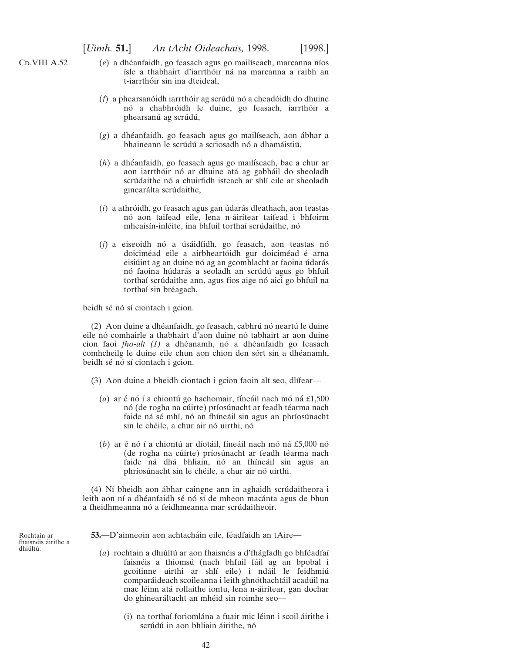<span id="page-41-0"></span>C<sub>D</sub>.VIII A.52

- (*e*) a dhéanfaidh, go feasach agus go mailíseach, marcanna níos ísle a thabhairt d'iarrthóir ná na marcanna a raibh an t-iarrthóir sin ina dteideal.
- (*f*) a phearsanóidh iarrthóir ag scrúdú nó a cheadóidh do dhuine nó a chabhróidh le duine, go feasach, iarrthóir a phearsanú ag scrúdú,
- (g) a dhéanfaidh, go feasach agus go mailíseach, aon ábhar a bhaineann le scrúdú a scriosadh nó a dhamáistiú,
- (*h*) a dhéanfaidh, go feasach agus go mailíseach, bac a chur ar aon iarrthóir nó ar dhuine atá ag gabháil do sheoladh scrúdaithe nó a chuirfidh isteach ar shlí eile ar sheoladh ginearálta scrúdaithe,
- (*i*) a athróidh, go feasach agus gan údarás dleathach, aon teastas nó aon taifead eile, lena n-áirítear taifead i bhfoirm mheaisín-inléite, ina bhfuil torthaí scrúdaithe, nó
- (j) a eiseoidh nó a úsáidfidh, go feasach, aon teastas nó doiciméad eile a airbheartóidh gur doiciméad é arna eisiúint ag an duine nó ag an gcomhlacht ar faoina údarás nó faoina húdarás a seoladh an scrúdú agus go bhfuil torthaí scrúdaithe ann, agus fios aige nó aici go bhfuil na torthaí sin bréagach,

beidh sé nó sí ciontach i gcion.

(2) Aon duine a dhéanfaidh, go feasach, cabhrú nó neartú le duine eile nó comhairle a thabhairt d'aon duine nó tabhairt ar aon duine cion faoi *fho-alt (1)* a dhéanamh, nó a dhéanfaidh go feasach comhcheilg le duine eile chun aon chion den sórt sin a dhéanamh, beidh sé nó sí ciontach i gcion.

- $(3)$  Aon duine a bheidh ciontach i gcion faoin alt seo, dlífear—
	- $(a)$  ar é nó í a chiontú go hachomair, fíneáil nach mó ná £1,500 nó (de rogha na cúirte) príosúnacht ar feadh téarma nach faide ná sé mhí, nó an fhíneáil sin agus an phríosúnacht sin le chéile, a chur air nó uirthi, nó
	- $(b)$  ar é nó í a chiontú ar díotáil, fíneáil nach mó ná £5,000 nó (de rogha na cúirte) príosúnacht ar feadh téarma nach faide ná dhá bhliain, nó an fhíneáil sin agus an phríosúnacht sin le chéile, a chur air nó uirthi.

(4) Ní bheidh aon ábhar caingne ann in aghaidh scrúdaitheora i leith aon ní a dhéanfaidh sé nó sí de mheon macánta agus de bhun a fheidhmeanna nó a feidhmeanna mar scrúdaitheoir.

Rochtain ar fhaisnéis áirithe a dhiúltú.

**53.**—D'ainneoin aon achtacháin eile, féadfaidh an tAire—

- (a) rochtain a dhiúltú ar aon fhaisnéis a d'fhágfadh go bhféadfaí faisnéis a thiomsú (nach bhfuil fáil ag an bpobal i gcoitinne uirthi ar shlí eile) i ndáil le feidhmiú comparáideach scoileanna i leith ghnóthachtáil acadúil na mac léinn atá rollaithe iontu, lena n-áirítear, gan dochar do ghinearáltacht an mhéid sin roimhe seo—
	- (i) na torthaí foriomlána a fuair mic léinn i scoil áirithe i scrúdú in aon bhliain áirithe, nó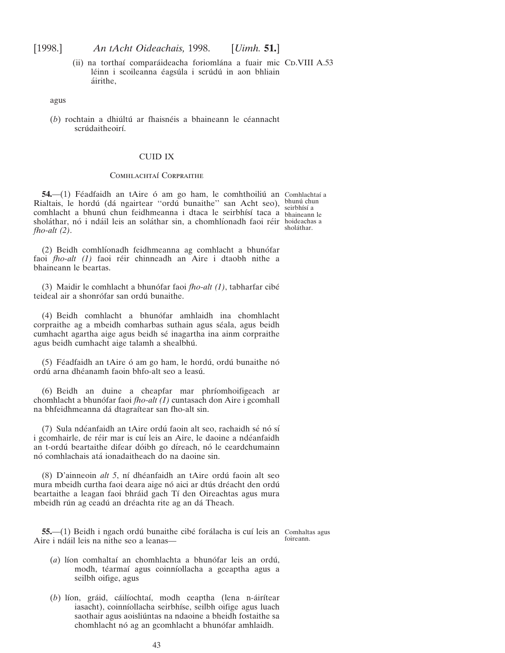<span id="page-42-0"></span>(ii) na torthaí comparáideacha foriomlána a fuair mic CD.VIII A.53 léinn i scoileanna éagsúla i scrúdú in aon bhliain a´irithe,

agus

 $(b)$  rochtain a dhiúltú ar fhaisnéis a bhaineann le céannacht scrúdaitheoirí.

#### CUID IX

#### COMHLACHTAÍ CORPRAITHE

**54.**—(1) Féadfaidh an tAire ó am go ham, le comhthoiliú an Comhlachtaí a Rialtais, le hordú (dá ngairtear "ordú bunaithe" san Acht seo), bhunú chun comhlacht a bhunú chun feidhmeanna i dtaca le seirbhísí taca a bhaineann le sholáthar, nó i ndáil leis an soláthar sin, a chomhlíonadh faoi réir hoideachas a *fho-alt (2)*. sholáthar.

(2) Beidh comhlíonadh feidhmeanna ag comhlacht a bhunófar faoi *fho-alt (1)* faoi réir chinneadh an Aire i dtaobh nithe a bhaineann le beartas.

(3) Maidir le comhlacht a bhuno´far faoi *fho-alt (1)*, tabharfar cibe´ teideal air a shonrófar san ordú bunaithe.

(4) Beidh comhlacht a bhuno´far amhlaidh ina chomhlacht corpraithe ag a mbeidh comharbas suthain agus séala, agus beidh cumhacht agartha aige agus beidh sé inagartha ina ainm corpraithe agus beidh cumhacht aige talamh a shealbhu´.

(5) Féadfaidh an tAire ó am go ham, le hordú, ordú bunaithe nó ordú arna dhéanamh faoin bhfo-alt seo a leasú.

(6) Beidh an duine a cheapfar mar phrı´omhoifigeach ar chomhlacht a bhunófar faoi *fho-alt (1)* cuntasach don Aire i gcomhall na bhfeidhmeanna dá dtagraítear san fho-alt sin.

(7) Sula ndéanfaidh an tAire ordú faoin alt seo, rachaidh sé nó sí i gcomhairle, de réir mar is cuí leis an Aire, le daoine a ndéanfaidh an t-ordú beartaithe difear dóibh go díreach, nó le ceardchumainn nó comhlachais atá ionadaitheach do na daoine sin.

(8) D'ainneoin alt 5, ní dhéanfaidh an tAire ordú faoin alt seo mura mbeidh curtha faoi deara aige nó aici ar dtús dréacht den ordú beartaithe a leagan faoi bhráid gach Tí den Oireachtas agus mura mbeidh rún ag ceadú an dréachta rite ag an dá Theach.

**55.**—(1) Beidh i ngach ordú bunaithe cibé forálacha is cuí leis an Comhaltas agus Aire i ndáil leis na nithe seo a leanas foireann.

- (*a*) líon comhaltaí an chomhlachta a bhunófar leis an ordú, modh, téarmaí agus coinníollacha a gceaptha agus a seilbh oifige, agus
- (b) líon, gráid, cáilíochtaí, modh ceaptha (lena n-áirítear iasacht), coinníollacha seirbhíse, seilbh oifige agus luach saothair agus aoisliúntas na ndaoine a bheidh fostaithe sa chomhlacht nó ag an gcomhlacht a bhunófar amhlaidh.

43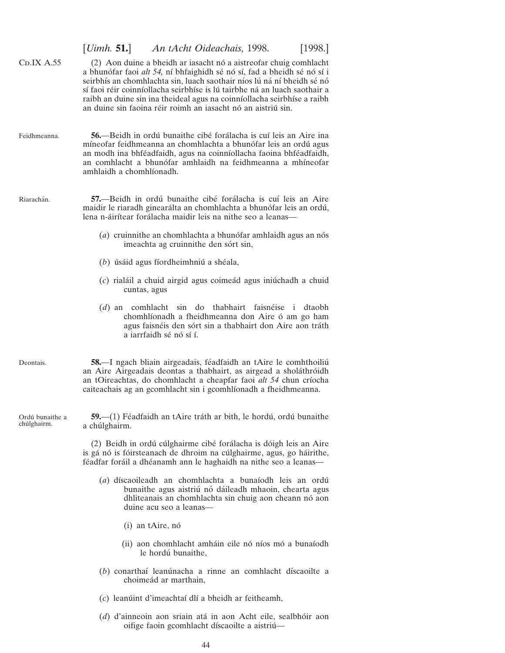<span id="page-43-0"></span>

|                                | [ <i>Uimh.</i> 51.]<br>An tAcht Oideachais, 1998.<br>[1998.]                                                                                                                                                                                                                                                                                                                                                                                   |
|--------------------------------|------------------------------------------------------------------------------------------------------------------------------------------------------------------------------------------------------------------------------------------------------------------------------------------------------------------------------------------------------------------------------------------------------------------------------------------------|
| CDIX A.55                      | (2) Aon duine a bheidh ar iasacht nó a aistreofar chuig comhlacht<br>a bhunófar faoi alt 54, ní bhfaighidh sé nó sí, fad a bheidh sé nó sí i<br>seirbhís an chomhlachta sin, luach saothair níos lú ná ní bheidh sé nó<br>sí faoi réir coinníollacha seirbhíse is lú tairbhe ná an luach saothair a<br>raibh an duine sin ina theideal agus na coinníollacha seirbhíse a raibh<br>an duine sin faoina réir roimh an iasacht nó an aistriú sin. |
| Feidhmeanna.                   | 56.—Beidh in ordú bunaithe cibé forálacha is cuí leis an Aire ina<br>míneofar feidhmeanna an chomhlachta a bhunófar leis an ordú agus<br>an modh ina bhféadfaidh, agus na coinníollacha faoina bhféadfaidh,<br>an comhlacht a bhunófar amhlaidh na feidhmeanna a mhíneofar<br>amhlaidh a chomhlíonadh.                                                                                                                                         |
| Riarachán.                     | 57.—Beidh in ordú bunaithe cibé forálacha is cuí leis an Aire<br>maidir le riaradh ginearálta an chomhlachta a bhunófar leis an ordú,<br>lena n-áirítear forálacha maidir leis na nithe seo a leanas—                                                                                                                                                                                                                                          |
|                                | $(a)$ cruinnithe an chomhlachta a bhunófar amhlaidh agus an nós<br>imeachta ag cruinnithe den sórt sin,                                                                                                                                                                                                                                                                                                                                        |
|                                | $(b)$ úsáid agus fíordheimhniú a shéala,                                                                                                                                                                                                                                                                                                                                                                                                       |
|                                | $(c)$ rialáil a chuid airgid agus coimeád agus iniúchadh a chuid<br>cuntas, agus                                                                                                                                                                                                                                                                                                                                                               |
|                                | $(d)$ an comhlacht sin do thabhairt faisnéise i<br>dtaobh<br>chomhlíonadh a fheidhmeanna don Aire ó am go ham<br>agus faisnéis den sórt sin a thabhairt don Aire aon tráth<br>a iarrfaidh sé nó sí í.                                                                                                                                                                                                                                          |
| Deontais.                      | 58.—I ngach bliain airgeadais, féadfaidh an tAire le comhthoiliú<br>an Aire Airgeadais deontas a thabhairt, as airgead a sholáthróidh<br>an tOireachtas, do chomhlacht a cheapfar faoi alt 54 chun críocha<br>caiteachais ag an gcomhlacht sin i gcomhlíonadh a fheidhmeanna.                                                                                                                                                                  |
| Ordú bunaithe a<br>chúlghairm. | 59. - (1) Féadfaidh an tAire tráth ar bith, le hordú, ordú bunaithe<br>a chúlghairm.                                                                                                                                                                                                                                                                                                                                                           |
|                                | (2) Beidh in ordú cúlghairme cibé forálacha is dóigh leis an Aire<br>is gá nó is fóirsteanach de dhroim na cúlghairme, agus, go háirithe,<br>féadfar foráil a dhéanamh ann le haghaidh na nithe seo a leanas—                                                                                                                                                                                                                                  |
|                                | (a) díscaoileadh an chomhlachta a bunaíodh leis an ordú<br>bunaithe agus aistriú nó dáileadh mhaoin, chearta agus<br>dhliteanais an chomhlachta sin chuig aon cheann nó aon<br>duine acu seo a leanas—                                                                                                                                                                                                                                         |
|                                | (i) an tAire, nó                                                                                                                                                                                                                                                                                                                                                                                                                               |
|                                | (ii) aon chomhlacht amháin eile nó níos mó a bunaíodh<br>le hordú bunaithe,                                                                                                                                                                                                                                                                                                                                                                    |
|                                | (b) conarthaí leanúnacha a rinne an comhlacht díscaoilte a<br>choimeád ar marthain,                                                                                                                                                                                                                                                                                                                                                            |
|                                | (c) leanúint d'imeachtaí dlí a bheidh ar feitheamh,                                                                                                                                                                                                                                                                                                                                                                                            |
|                                |                                                                                                                                                                                                                                                                                                                                                                                                                                                |

(*d*) d'ainneoin aon sriain ata´ in aon Acht eile, sealbho´ir aon oifige faoin gcomhlacht díscaoilte a aistriú-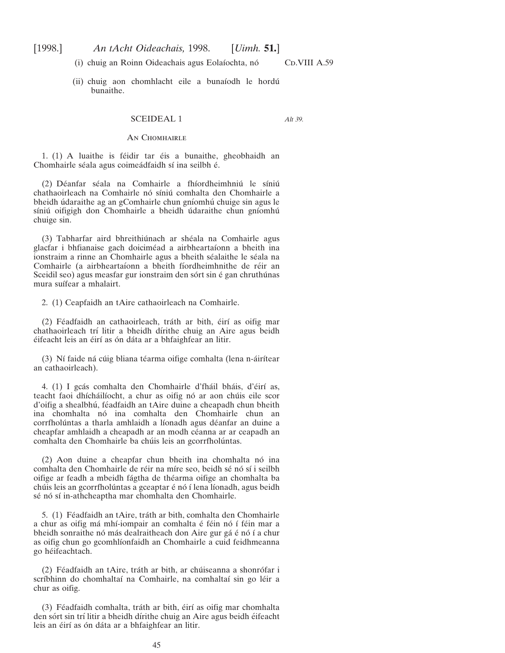<span id="page-44-0"></span>

(i) chuig an Roinn Oideachais agus Eolaíochta, nó CD.VIII A.59

(ii) chuig aon chomhlacht eile a bunaíodh le hordú bunaithe.

#### SCEIDEAL 1

*Alt 39.*

#### AN CHOMHAIRLE

1. (1) A luaithe is féidir tar éis a bunaithe, gheobhaidh an Chomhairle séala agus coimeádfaidh sí ina seilbh é.

(2) Déanfar séala na Comhairle a fhíordheimhniú le síniú chathaoirleach na Comhairle nó síniú comhalta den Chomhairle a bheidh ú daraithe ag an gComhairle chun gníomhú chuige sin agus le síniú oifigigh don Chomhairle a bheidh údaraithe chun gníomhú chuige sin.

(3) Tabharfar aird bhreithiúnach ar shéala na Comhairle agus glacfar i bhfianaise gach doiciméad a airbheartaíonn a bheith ina ionstraim a rinne an Chomhairle agus a bheith séalaithe le séala na Comhairle (a airbheartaíonn a bheith fíordheimhnithe de réir an Sceidil seo) agus measfar gur ionstraim den sórt sin é gan chruthúnas mura suífear a mhalairt.

2. (1) Ceapfaidh an tAire cathaoirleach na Comhairle.

(2) Féadfaidh an cathaoirleach, tráth ar bith, éirí as oifig mar chathaoirleach trí litir a bheidh dírithe chuig an Aire agus beidh éifeacht leis an éirí as ón dáta ar a bhfaighfear an litir.

(3) Ní faide ná cúig bliana téarma oifige comhalta (lena n-áirítear an cathaoirleach).

4. (1) I gcás comhalta den Chomhairle d'fháil bháis, d'éirí as, teacht faoi dhícháilíocht, a chur as oifig nó ar aon chúis eile scor d'oifig a shealbhú, féadfaidh an tAire duine a cheapadh chun bheith ina chomhalta nó ina comhalta den Chomhairle chun an corrfholúntas a tharla amhlaidh a líonadh agus déanfar an duine a cheapfar amhlaidh a cheapadh ar an modh céanna ar ar ceapadh an comhalta den Chomhairle ba chúis leis an gcorrfholúntas.

 $(2)$  Aon duine a cheapfar chun bheith ina chomhalta nó ina comhalta den Chomhairle de réir na míre seo, beidh sé nó sí i seilbh oifige ar feadh a mbeidh fágtha de théarma oifige an chomhalta ba chúis leis an gcorrfholúntas a gceaptar é nó í lena líonadh, agus beidh sé nó sí in-athcheaptha mar chomhalta den Chomhairle.

5. (1) Féadfaidh an tAire, tráth ar bith, comhalta den Chomhairle a chur as oifig má mhí-iompair an comhalta é féin nó í féin mar a bheidh sonraithe nó más dealraitheach don Aire gur gá é nó í a chur as oifig chun go gcomhlíonfaidh an Chomhairle a cuid feidhmeanna go héifeachtach.

(2) Féadfaidh an tAire, tráth ar bith, ar chúiseanna a shonrófar i scríbhinn do chomhaltaí na Comhairle, na comhaltaí sin go léir a chur as oifig.

(3) Féadfaidh comhalta, tráth ar bith, éirí as oifig mar chomhalta den sórt sin trí litir a bheidh dírithe chuig an Aire agus beidh éifeacht leis an éirí as ón dáta ar a bhfaighfear an litir.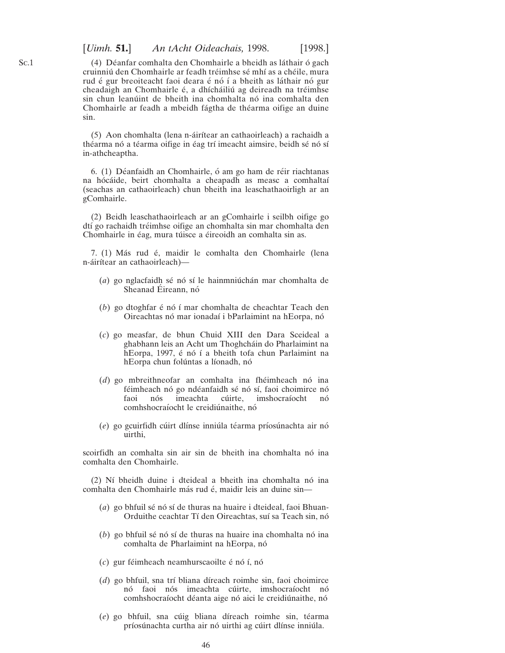[*Uimh.* **51.**] *An tAcht Oideachais,* 1998. [1998.]

(4) Déanfar comhalta den Chomhairle a bheidh as láthair ó gach cruinniú den Chomhairle ar feadh tréimhse sé mhí as a chéile, mura rud é gur breoiteacht faoi deara é nó í a bheith as láthair nó gur cheadaigh an Chomhairle é, a dhícháiliú ag deireadh na tréimhse sin chun leanúint de bheith ina chomhalta nó ina comhalta den Chomhairle ar feadh a mbeidh fágtha de théarma oifige an duine sin.

(5) Aon chomhalta (lena n-áirítear an cathaoirleach) a rachaidh a théarma nó a téarma oifige in éag trí imeacht aimsire, beidh sé nó sí in-athcheaptha.

6. (1) Déanfaidh an Chomhairle, ó am go ham de réir riachtanas na hócáide, beirt chomhalta a cheapadh as measc a comhaltaí (seachas an cathaoirleach) chun bheith ina leaschathaoirligh ar an gComhairle.

(2) Beidh leaschathaoirleach ar an gComhairle i seilbh oifige go dtí go rachaidh tréimhse oifige an chomhalta sin mar chomhalta den Chomhairle in éag, mura túisce a éireoidh an comhalta sin as.

7. (1) Más rud é, maidir le comhalta den Chomhairle (lena n-áirítear an cathaoirleach)—

- (*a*) go nglacfaidh sé nó sí le hainmniú chán mar chomhalta de Sheanad Éireann, nó
- (*b*) go dtoghfar é nó í mar chomhalta de cheachtar Teach den Oireachtas nó mar ionadaí i bParlaimint na hEorpa, nó
- (*c*) go measfar, de bhun Chuid XIII den Dara Sceideal a ghabhann leis an Acht um Thoghcháin do Pharlaimint na hEorpa, 1997, é nó í a bheith tofa chun Parlaimint na hEorpa chun folúntas a líonadh, nó
- (*d*) go mbreithneofar an comhalta ina fhéimheach nó ina féimheach nó go ndéanfaidh sé nó sí, faoi choimirce nó<br>faoi nós imeachta cúirte, imshocraíocht nó faoi nós imeachta cúirte, imshocraíocht nó comhshocraíocht le creidiúnaithe, nó
- (e) go gcuirfidh cúirt dlínse inniúla téarma príosúnachta air nó uirthi,

scoirfidh an comhalta sin air sin de bheith ina chomhalta nó ina comhalta den Chomhairle.

 $(2)$  Ní bheidh duine i dteideal a bheith ina chomhalta nó ina comhalta den Chomhairle más rud é, maidir leis an duine sin-

- (*a*) go bhfuil sé nó sí de thuras na huaire i dteideal, faoi Bhuan-Orduithe ceachtar Tí den Oireachtas, suí sa Teach sin, nó
- (*b*) go bhfuil sé nó sí de thuras na huaire ina chomhalta nó ina comhalta de Pharlaimint na hEorpa, nó
- $(c)$  gur féimheach neamhurscaoilte é nó í, nó
- (*d*) go bhfuil, sna trí bliana díreach roimhe sin, faoi choimirce nó faoi nós imeachta cúirte, imshocraíocht nó comhshocraíocht déanta aige nó aici le creidiúnaithe, nó
- (e) go bhfuil, sna cúig bliana díreach roimhe sin, téarma príosúnachta curtha air nó uirthi ag cúirt dlínse inniúla.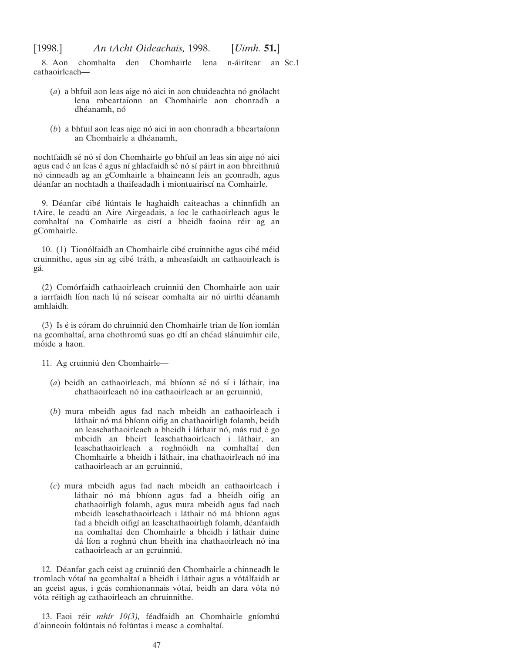8. Aon chomhalta den Chomhairle lena n-áirítear an Sc.1 cathaoirleach—

- (*a*) a bhfuil aon leas aige nó aici in aon chuideachta nó gnólacht lena mbeartaı´onn an Chomhairle aon chonradh a dhéanamh, nó
- $(b)$  a bhfuil aon leas aige nó aici in aon chonradh a bheartaíonn an Chomhairle a dhéanamh,

nochtfaidh sé nó sí don Chomhairle go bhfuil an leas sin aige nó aici agus cad é an leas é agus ní ghlacfaidh sé nó sí páirt in aon bhreithniú nó cinneadh ag an gComhairle a bhaineann leis an gconradh, agus déanfar an nochtadh a thaifeadadh i miontuairiscí na Comhairle.

9. Déanfar cibé liúntais le haghaidh caiteachas a chinnfidh an tAire, le ceadú an Aire Airgeadais, a íoc le cathaoirleach agus le comhaltaí na Comhairle as cistí a bheidh faoina réir ag an gComhairle.

10. (1) Tionólfaidh an Chomhairle cibé cruinnithe agus cibé méid cruinnithe, agus sin ag cibé tráth, a mheasfaidh an cathaoirleach is ga´.

(2) Comórfaidh cathaoirleach cruinniú den Chomhairle aon uair a iarrfaidh líon nach lú ná seisear comhalta air nó uirthi déanamh amhlaidh.

(3) Is é is córam do chruinniú den Chomhairle trian de líon iomlán na gcomhaltaí, arna chothromú suas go dtí an chéad slánuimhir eile, móide a haon.

11. Ag cruinniú den Chomhairle-

- (*a*) beidh an cathaoirleach, má bhíonn sé nó sí i láthair, ina chathaoirleach nó ina cathaoirleach ar an gcruinniú,
- (*b*) mura mbeidh agus fad nach mbeidh an cathaoirleach i láthair nó má bhíonn oifig an chathaoirligh folamh, beidh an leaschathaoirleach a bheidh i láthair nó, más rud é go mbeidh an bheirt leaschathaoirleach i láthair, an leaschathaoirleach a roghnóidh na comhaltaí den Chomhairle a bheidh i láthair, ina chathaoirleach nó ina cathaoirleach ar an gcruinniú,
- (*c*) mura mbeidh agus fad nach mbeidh an cathaoirleach i láthair nó má bhíonn agus fad a bheidh oifig an chathaoirligh folamh, agus mura mbeidh agus fad nach mbeidh leaschathaoirleach i láthair nó má bhíonn agus fad a bheidh oifigí an leaschathaoirligh folamh, déanfaidh na comhaltaí den Chomhairle a bheidh i láthair duine dá líon a roghnú chun bheith ina chathaoirleach nó ina cathaoirleach ar an gcruinniú.

12. Déanfar gach ceist ag cruinniú den Chomhairle a chinneadh le tromlach vótaí na gcomhaltaí a bheidh i láthair agus a vótálfaidh ar an gceist agus, i gcás comhionannais vótaí, beidh an dara vóta nó vóta réitigh ag cathaoirleach an chruinnithe.

13. Faoi réir *mhír 10(3)*, féadfaidh an Chomhairle gníomhú d'ainneoin folúntais nó folúntas i measc a comhaltaí.